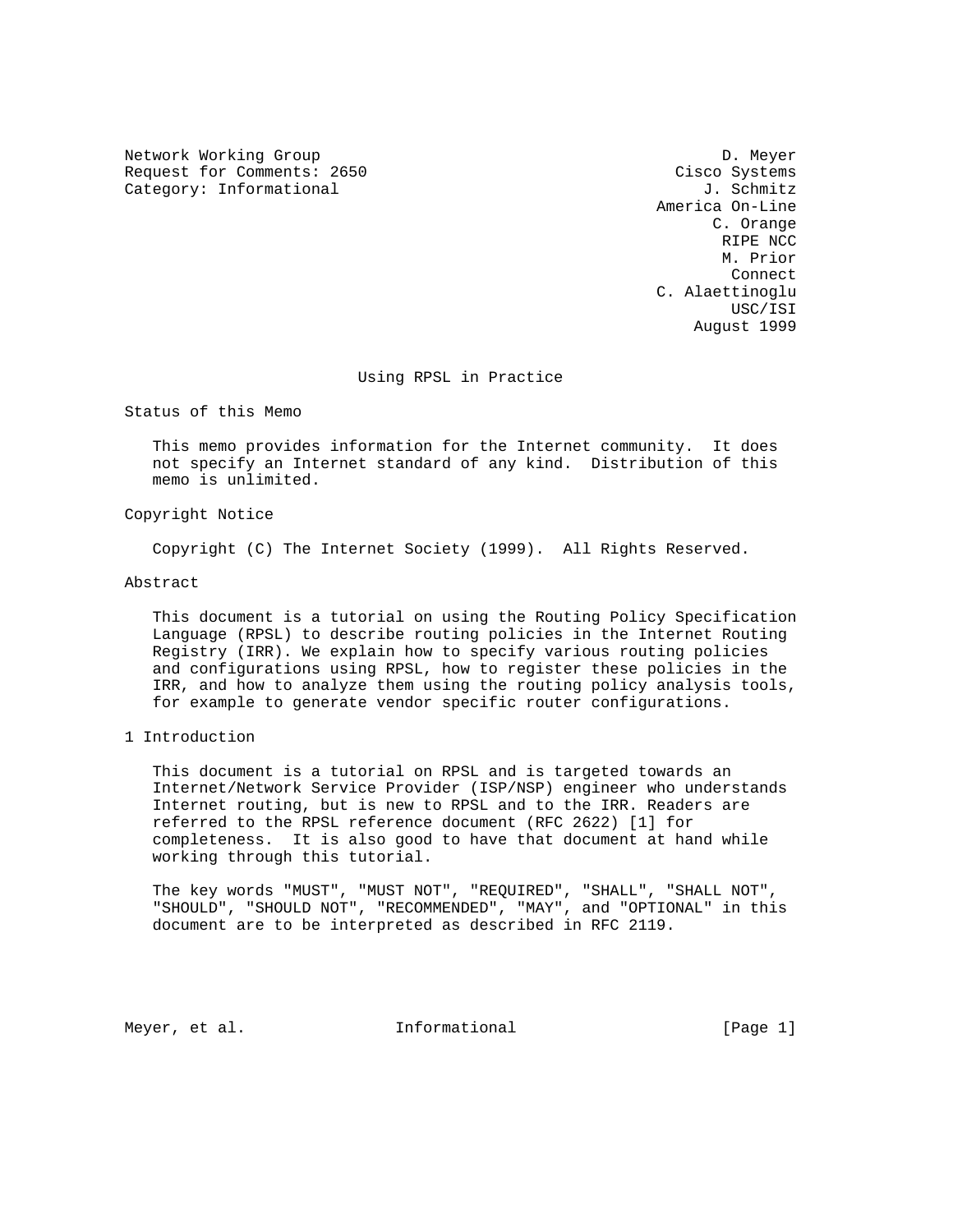Network Working Group Development of the United States of the D. Meyer Request for Comments: 2650 Cisco Systems Category: Informational  $J.$  Schmitz

 America On-Line C. Orange RIPE NCC M. Prior **Connect Connect**  C. Alaettinoglu USC/ISI August 1999

# Using RPSL in Practice

Status of this Memo

 This memo provides information for the Internet community. It does not specify an Internet standard of any kind. Distribution of this memo is unlimited.

Copyright Notice

Copyright (C) The Internet Society (1999). All Rights Reserved.

Abstract

 This document is a tutorial on using the Routing Policy Specification Language (RPSL) to describe routing policies in the Internet Routing Registry (IRR). We explain how to specify various routing policies and configurations using RPSL, how to register these policies in the IRR, and how to analyze them using the routing policy analysis tools, for example to generate vendor specific router configurations.

1 Introduction

 This document is a tutorial on RPSL and is targeted towards an Internet/Network Service Provider (ISP/NSP) engineer who understands Internet routing, but is new to RPSL and to the IRR. Readers are referred to the RPSL reference document (RFC 2622) [1] for completeness. It is also good to have that document at hand while working through this tutorial.

 The key words "MUST", "MUST NOT", "REQUIRED", "SHALL", "SHALL NOT", "SHOULD", "SHOULD NOT", "RECOMMENDED", "MAY", and "OPTIONAL" in this document are to be interpreted as described in RFC 2119.

Meyer, et al.  $I_n$  Informational  $[Page 1]$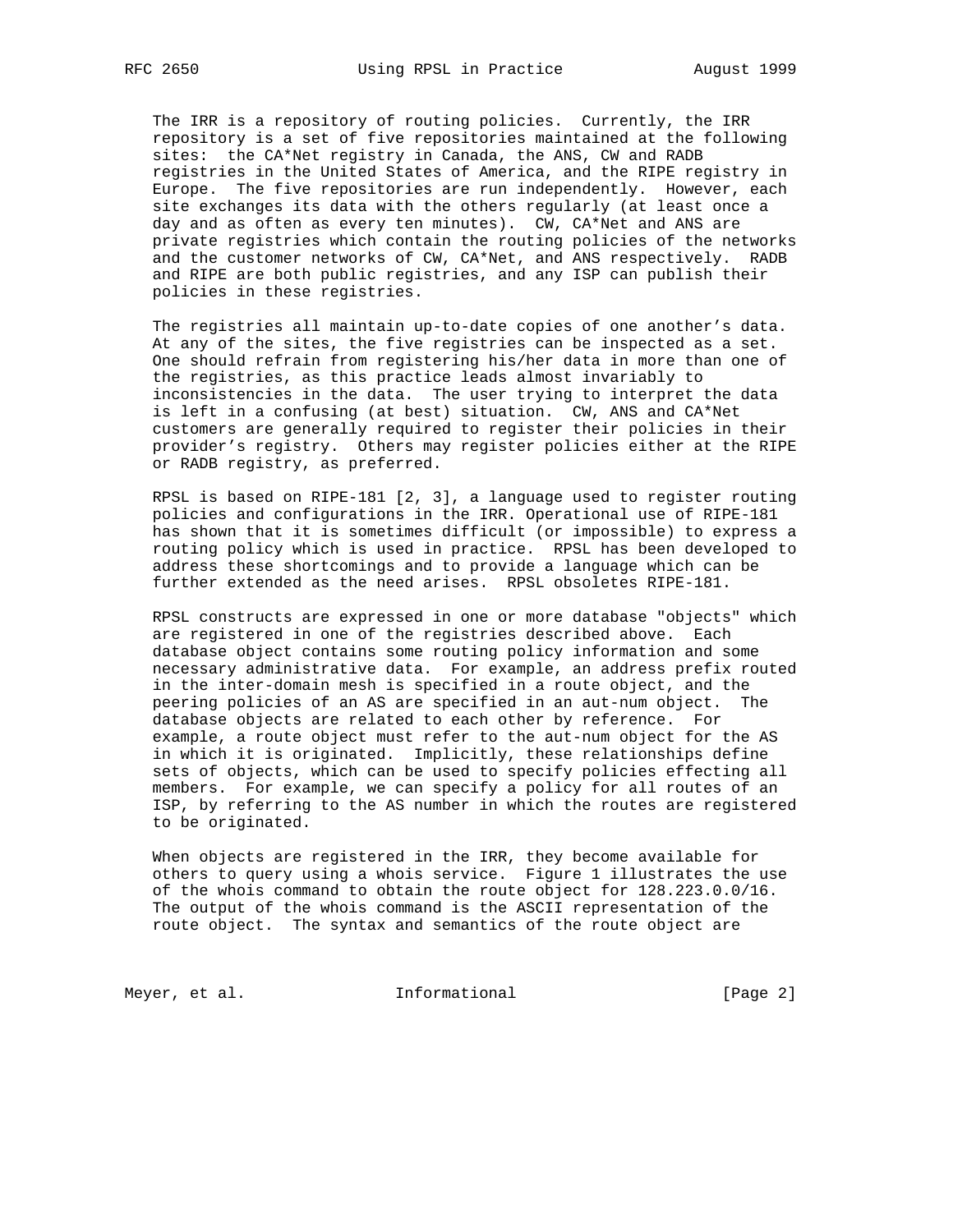The IRR is a repository of routing policies. Currently, the IRR repository is a set of five repositories maintained at the following sites: the CA\*Net registry in Canada, the ANS, CW and RADB registries in the United States of America, and the RIPE registry in Europe. The five repositories are run independently. However, each site exchanges its data with the others regularly (at least once a day and as often as every ten minutes). CW, CA\*Net and ANS are private registries which contain the routing policies of the networks and the customer networks of CW, CA\*Net, and ANS respectively. RADB and RIPE are both public registries, and any ISP can publish their policies in these registries.

 The registries all maintain up-to-date copies of one another's data. At any of the sites, the five registries can be inspected as a set. One should refrain from registering his/her data in more than one of the registries, as this practice leads almost invariably to inconsistencies in the data. The user trying to interpret the data is left in a confusing (at best) situation. CW, ANS and CA\*Net customers are generally required to register their policies in their provider's registry. Others may register policies either at the RIPE or RADB registry, as preferred.

 RPSL is based on RIPE-181 [2, 3], a language used to register routing policies and configurations in the IRR. Operational use of RIPE-181 has shown that it is sometimes difficult (or impossible) to express a routing policy which is used in practice. RPSL has been developed to address these shortcomings and to provide a language which can be further extended as the need arises. RPSL obsoletes RIPE-181.

 RPSL constructs are expressed in one or more database "objects" which are registered in one of the registries described above. Each database object contains some routing policy information and some necessary administrative data. For example, an address prefix routed in the inter-domain mesh is specified in a route object, and the peering policies of an AS are specified in an aut-num object. The database objects are related to each other by reference. For example, a route object must refer to the aut-num object for the AS in which it is originated. Implicitly, these relationships define sets of objects, which can be used to specify policies effecting all members. For example, we can specify a policy for all routes of an ISP, by referring to the AS number in which the routes are registered to be originated.

 When objects are registered in the IRR, they become available for others to query using a whois service. Figure 1 illustrates the use of the whois command to obtain the route object for 128.223.0.0/16. The output of the whois command is the ASCII representation of the route object. The syntax and semantics of the route object are

Meyer, et al. 10 1nformational 100 meyer, et al.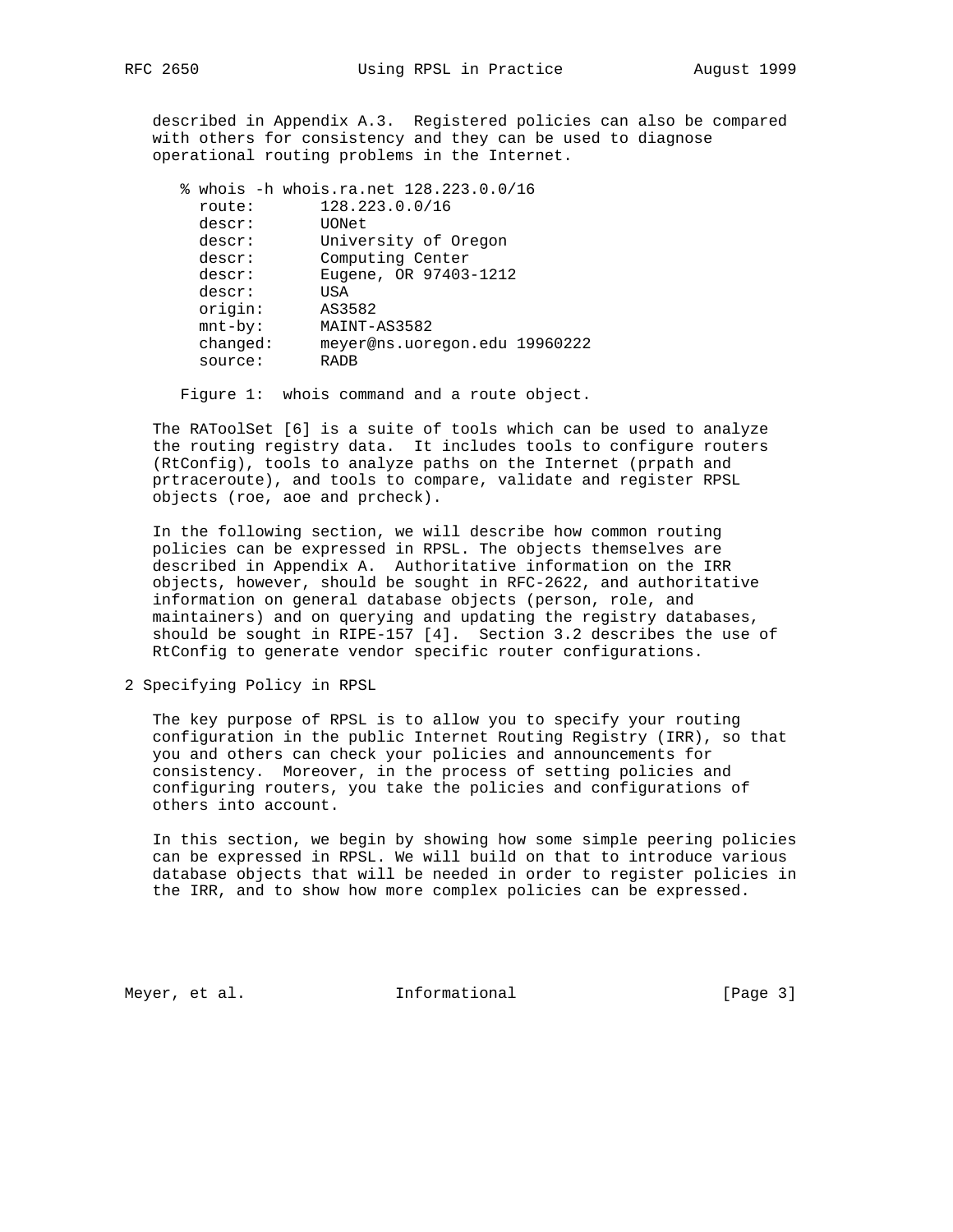described in Appendix A.3. Registered policies can also be compared with others for consistency and they can be used to diagnose operational routing problems in the Internet.

|            | % whois -h whois.ra.net 128.223.0.0/16 |
|------------|----------------------------------------|
| route:     | 128.223.0.0/16                         |
| descr:     | UONet                                  |
| descr:     | University of Oregon                   |
| descr:     | Computing Center                       |
| descr:     | Eugene, OR 97403-1212                  |
| descr:     | USA                                    |
| origin:    | AS3582                                 |
| $mnt-by$ : | MAINT-AS3582                           |
| changed:   | meyer@ns.uoregon.edu 19960222          |
| source:    | <b>RADB</b>                            |

Figure 1: whois command and a route object.

 The RAToolSet [6] is a suite of tools which can be used to analyze the routing registry data. It includes tools to configure routers (RtConfig), tools to analyze paths on the Internet (prpath and prtraceroute), and tools to compare, validate and register RPSL objects (roe, aoe and prcheck).

 In the following section, we will describe how common routing policies can be expressed in RPSL. The objects themselves are described in Appendix A. Authoritative information on the IRR objects, however, should be sought in RFC-2622, and authoritative information on general database objects (person, role, and maintainers) and on querying and updating the registry databases, should be sought in RIPE-157 [4]. Section 3.2 describes the use of RtConfig to generate vendor specific router configurations.

2 Specifying Policy in RPSL

 The key purpose of RPSL is to allow you to specify your routing configuration in the public Internet Routing Registry (IRR), so that you and others can check your policies and announcements for consistency. Moreover, in the process of setting policies and configuring routers, you take the policies and configurations of others into account.

 In this section, we begin by showing how some simple peering policies can be expressed in RPSL. We will build on that to introduce various database objects that will be needed in order to register policies in the IRR, and to show how more complex policies can be expressed.

Meyer, et al.  $I_n$  Informational [Page 3]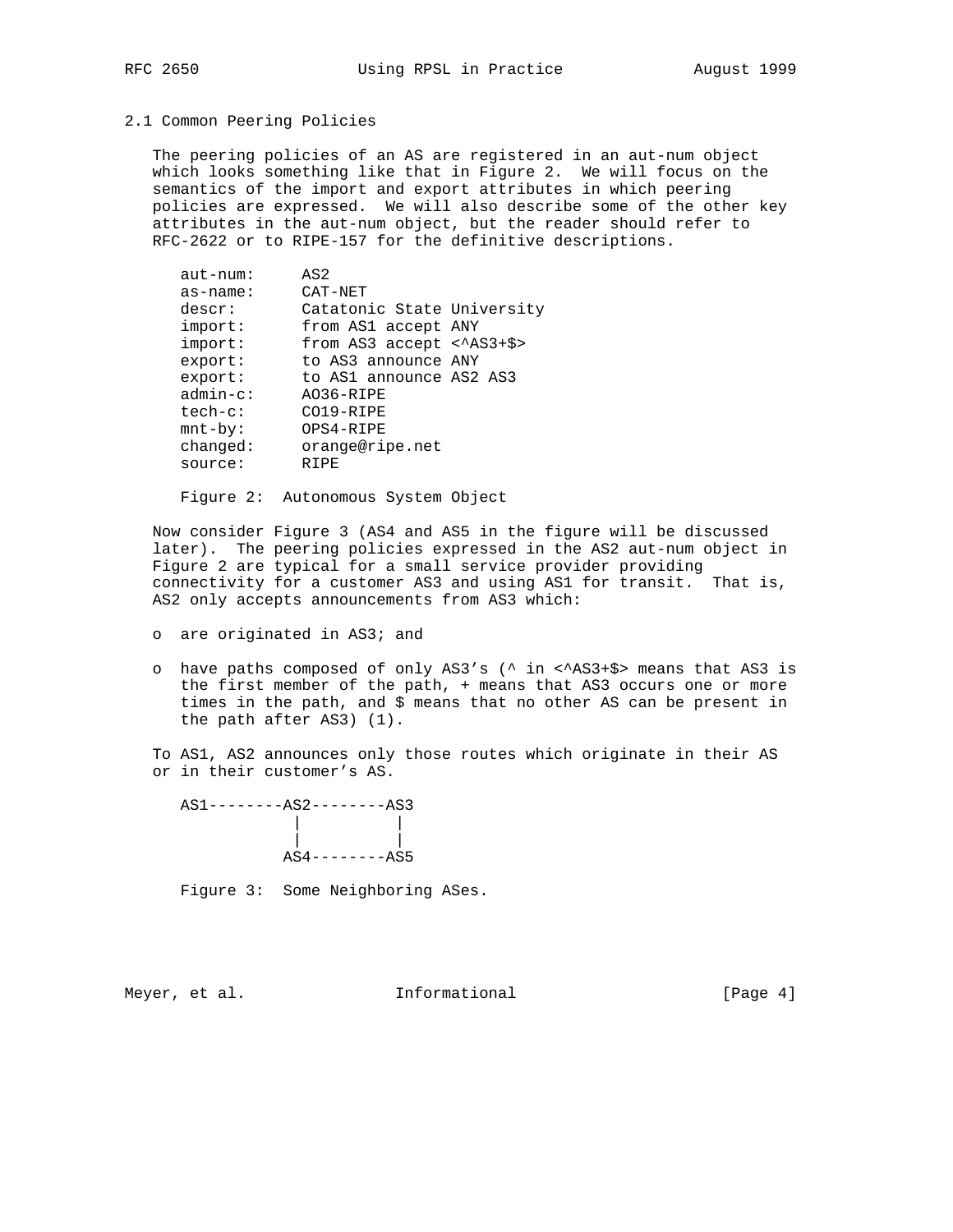### 2.1 Common Peering Policies

 The peering policies of an AS are registered in an aut-num object which looks something like that in Figure 2. We will focus on the semantics of the import and export attributes in which peering policies are expressed. We will also describe some of the other key attributes in the aut-num object, but the reader should refer to RFC-2622 or to RIPE-157 for the definitive descriptions.

| $aut-num:$  | AS2                                       |  |
|-------------|-------------------------------------------|--|
| $as$ -name: | CAT-NET                                   |  |
| descr:      | Catatonic State University                |  |
| import:     | from AS1 accept ANY                       |  |
| import:     | from AS3 accept $\langle \rangle$ AS3+\$> |  |
| export:     | to AS3 announce ANY                       |  |
| export:     | to AS1 announce AS2 AS3                   |  |
| $admin-c$ : | AO36-RIPE                                 |  |
| $tech-c:$   | CO19-RIPE                                 |  |
| $mnt-by$ :  | OPS4-RIPE                                 |  |
| changed:    | orange@ripe.net                           |  |
| source:     | RIPE                                      |  |

Figure 2: Autonomous System Object

 Now consider Figure 3 (AS4 and AS5 in the figure will be discussed later). The peering policies expressed in the AS2 aut-num object in Figure 2 are typical for a small service provider providing connectivity for a customer AS3 and using AS1 for transit. That is, AS2 only accepts announcements from AS3 which:

- o are originated in AS3; and
- o have paths composed of only AS3's (^ in <^AS3+\$> means that AS3 is the first member of the path, + means that AS3 occurs one or more times in the path, and \$ means that no other AS can be present in the path after AS3) (1).

 To AS1, AS2 announces only those routes which originate in their AS or in their customer's AS.

| $AS1$ -------- $AS2$ -------- $AS3$ |                |
|-------------------------------------|----------------|
|                                     |                |
|                                     |                |
|                                     | $ASA------ASS$ |

Figure 3: Some Neighboring ASes.

Meyer, et al.  $I_n$  Informational  $[Page 4]$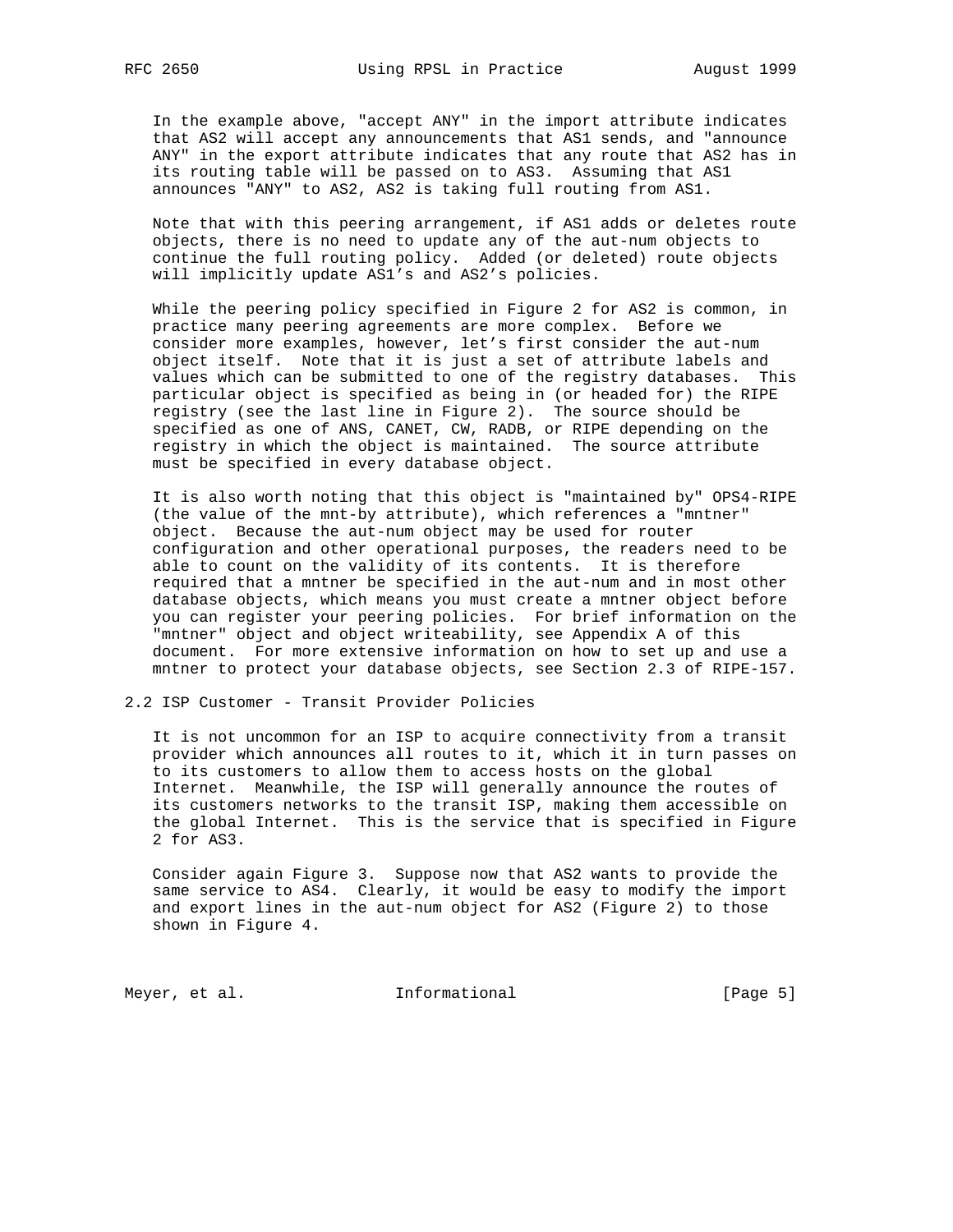In the example above, "accept ANY" in the import attribute indicates that AS2 will accept any announcements that AS1 sends, and "announce ANY" in the export attribute indicates that any route that AS2 has in its routing table will be passed on to AS3. Assuming that AS1 announces "ANY" to AS2, AS2 is taking full routing from AS1.

 Note that with this peering arrangement, if AS1 adds or deletes route objects, there is no need to update any of the aut-num objects to continue the full routing policy. Added (or deleted) route objects will implicitly update AS1's and AS2's policies.

 While the peering policy specified in Figure 2 for AS2 is common, in practice many peering agreements are more complex. Before we consider more examples, however, let's first consider the aut-num object itself. Note that it is just a set of attribute labels and values which can be submitted to one of the registry databases. This particular object is specified as being in (or headed for) the RIPE registry (see the last line in Figure 2). The source should be specified as one of ANS, CANET, CW, RADB, or RIPE depending on the registry in which the object is maintained. The source attribute must be specified in every database object.

 It is also worth noting that this object is "maintained by" OPS4-RIPE (the value of the mnt-by attribute), which references a "mntner" object. Because the aut-num object may be used for router configuration and other operational purposes, the readers need to be able to count on the validity of its contents. It is therefore required that a mntner be specified in the aut-num and in most other database objects, which means you must create a mntner object before you can register your peering policies. For brief information on the "mntner" object and object writeability, see Appendix A of this document. For more extensive information on how to set up and use a mntner to protect your database objects, see Section 2.3 of RIPE-157.

2.2 ISP Customer - Transit Provider Policies

 It is not uncommon for an ISP to acquire connectivity from a transit provider which announces all routes to it, which it in turn passes on to its customers to allow them to access hosts on the global Internet. Meanwhile, the ISP will generally announce the routes of its customers networks to the transit ISP, making them accessible on the global Internet. This is the service that is specified in Figure 2 for AS3.

 Consider again Figure 3. Suppose now that AS2 wants to provide the same service to AS4. Clearly, it would be easy to modify the import and export lines in the aut-num object for AS2 (Figure 2) to those shown in Figure 4.

Meyer, et al. 10 1nformational 100 meyer, et al.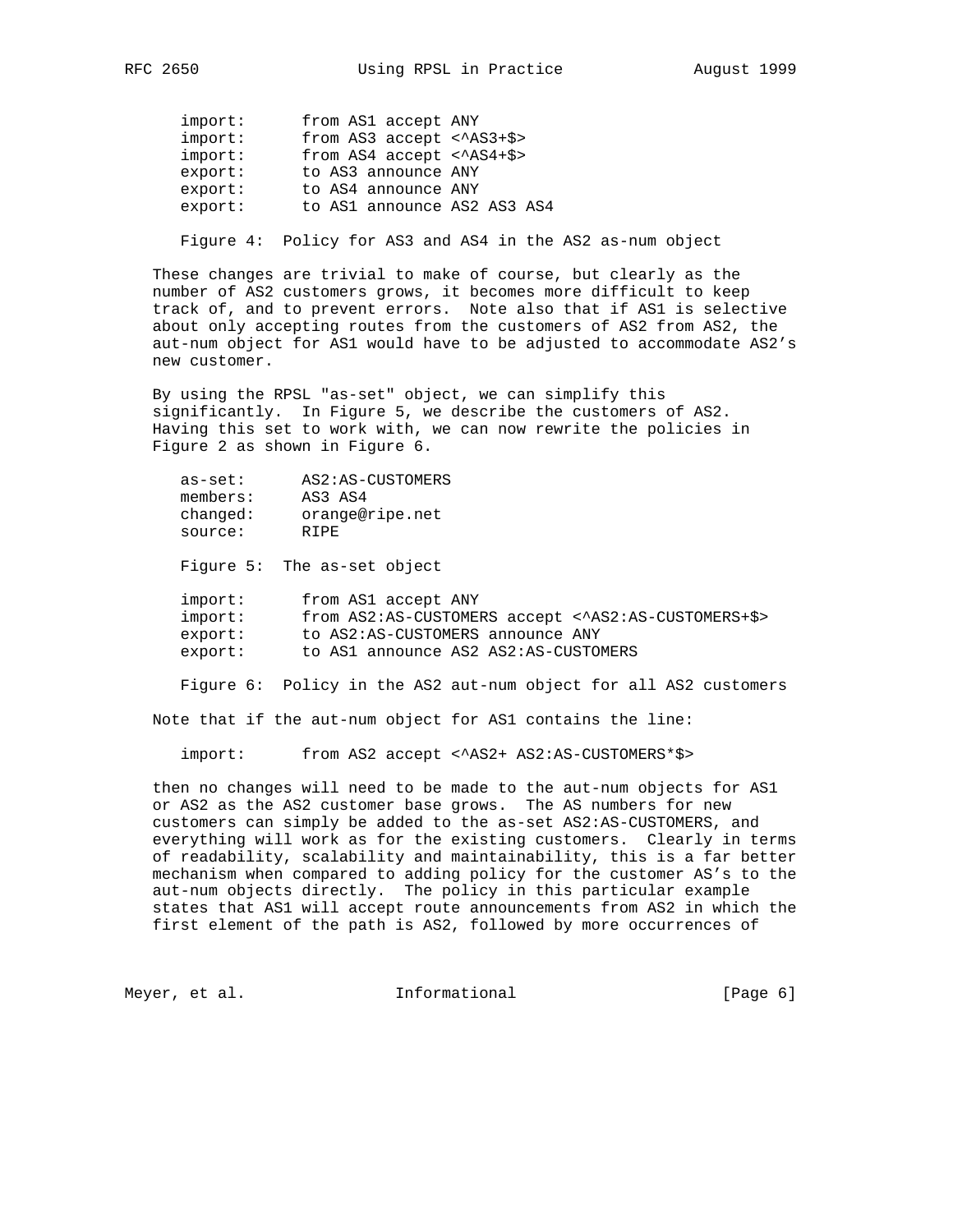| import: | from AS1 accept ANY               |
|---------|-----------------------------------|
| import: | from AS3 accept $\langle$ AS3+\$> |
| import: | from $AS4$ accept < $AS4+\$>$     |
| export: | to AS3 announce ANY               |
| export: | to AS4 announce ANY               |
| export: | to AS1 announce AS2 AS3 AS4       |

Figure 4: Policy for AS3 and AS4 in the AS2 as-num object

 These changes are trivial to make of course, but clearly as the number of AS2 customers grows, it becomes more difficult to keep track of, and to prevent errors. Note also that if AS1 is selective about only accepting routes from the customers of AS2 from AS2, the aut-num object for AS1 would have to be adjusted to accommodate AS2's new customer.

 By using the RPSL "as-set" object, we can simplify this significantly. In Figure 5, we describe the customers of AS2. Having this set to work with, we can now rewrite the policies in Figure 2 as shown in Figure 6.

| as-set:  | AS2:AS-CUSTOMERS |
|----------|------------------|
| members: | AS3 AS4          |
| changed: | orange@ripe.net  |
| source:  | R T PF.          |

Figure 5: The as-set object

| import: | from AS1 accept ANY                                 |
|---------|-----------------------------------------------------|
| import: | from AS2:AS-CUSTOMERS accept < AS2:AS-CUSTOMERS+\$> |
| export: | to AS2:AS-CUSTOMERS announce ANY                    |
| export: | to AS1 announce AS2 AS2:AS-CUSTOMERS                |

Figure 6: Policy in the AS2 aut-num object for all AS2 customers

Note that if the aut-num object for AS1 contains the line:

import: from AS2 accept <^AS2+ AS2:AS-CUSTOMERS\*\$>

 then no changes will need to be made to the aut-num objects for AS1 or AS2 as the AS2 customer base grows. The AS numbers for new customers can simply be added to the as-set AS2:AS-CUSTOMERS, and everything will work as for the existing customers. Clearly in terms of readability, scalability and maintainability, this is a far better mechanism when compared to adding policy for the customer AS's to the aut-num objects directly. The policy in this particular example states that AS1 will accept route announcements from AS2 in which the first element of the path is AS2, followed by more occurrences of

Meyer, et al.  $I_n$  Informational [Page 6]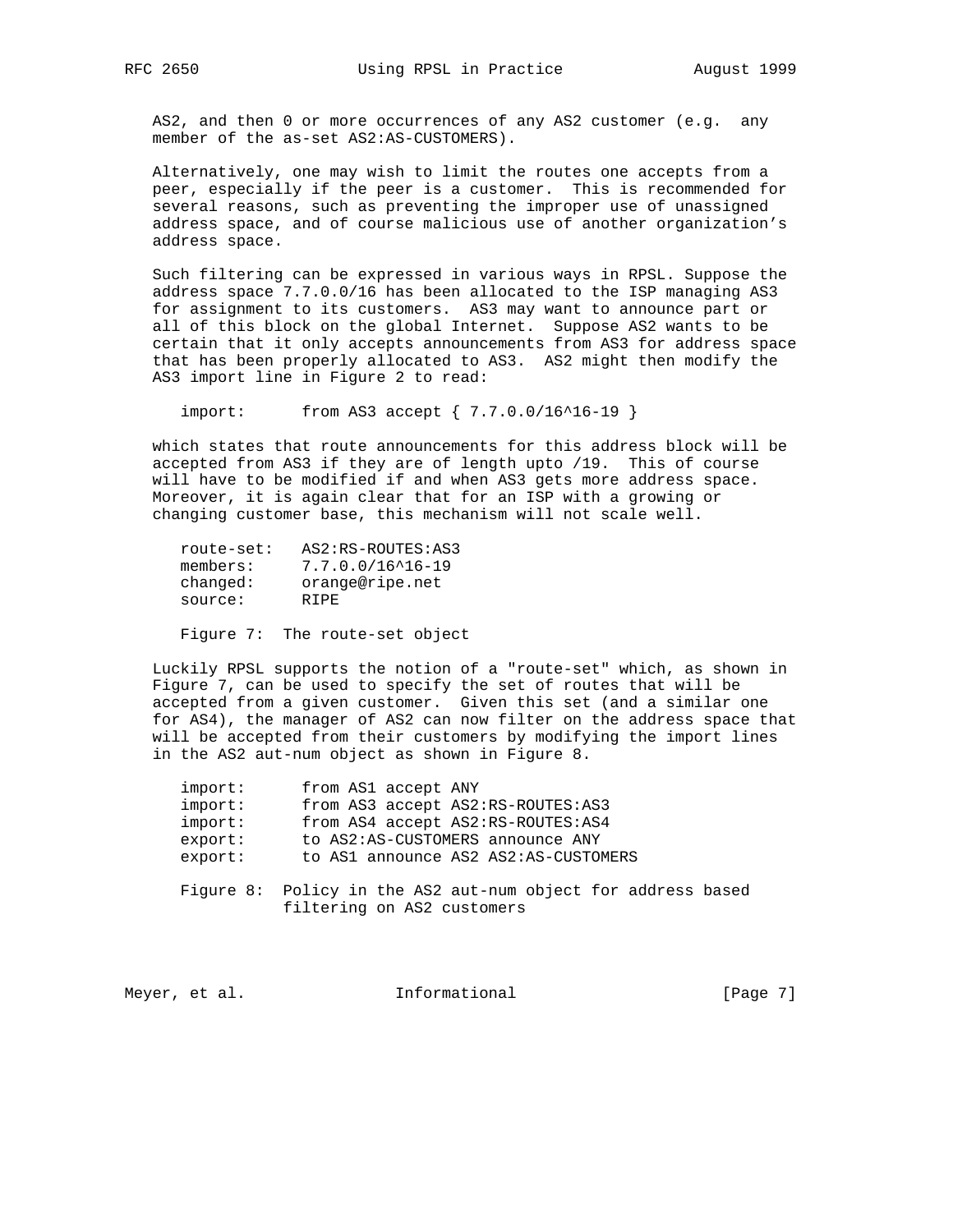AS2, and then 0 or more occurrences of any AS2 customer (e.g. any member of the as-set AS2:AS-CUSTOMERS).

 Alternatively, one may wish to limit the routes one accepts from a peer, especially if the peer is a customer. This is recommended for several reasons, such as preventing the improper use of unassigned address space, and of course malicious use of another organization's address space.

 Such filtering can be expressed in various ways in RPSL. Suppose the address space 7.7.0.0/16 has been allocated to the ISP managing AS3 for assignment to its customers. AS3 may want to announce part or all of this block on the global Internet. Suppose AS2 wants to be certain that it only accepts announcements from AS3 for address space that has been properly allocated to AS3. AS2 might then modify the AS3 import line in Figure 2 to read:

import: from AS3 accept {  $7.7.0.0/16^16-19$  }

 which states that route announcements for this address block will be accepted from AS3 if they are of length upto /19. This of course will have to be modified if and when AS3 gets more address space. Moreover, it is again clear that for an ISP with a growing or changing customer base, this mechanism will not scale well.

| route-set: | AS2:RS-ROUTES:AS3            |
|------------|------------------------------|
| members:   | $7.7.0.0/16^{\prime}16 - 19$ |
| changed:   | orange@ripe.net              |
| source:    | R T PF.                      |

Figure 7: The route-set object

 Luckily RPSL supports the notion of a "route-set" which, as shown in Figure 7, can be used to specify the set of routes that will be accepted from a given customer. Given this set (and a similar one for AS4), the manager of AS2 can now filter on the address space that will be accepted from their customers by modifying the import lines in the AS2 aut-num object as shown in Figure 8.

| import: | from AS1 accept ANY                                                                        |
|---------|--------------------------------------------------------------------------------------------|
| import: | from AS3 accept AS2:RS-ROUTES:AS3                                                          |
| import: | from AS4 accept AS2:RS-ROUTES:AS4                                                          |
| export: | to AS2:AS-CUSTOMERS announce ANY                                                           |
| export: | to AS1 announce AS2 AS2:AS-CUSTOMERS                                                       |
|         | Figure 8: Policy in the AS2 aut-num object for address based<br>filtering on AS2 customers |

| [Page $7$ ]<br>Informational<br>Meyer, et al. |  |  |
|-----------------------------------------------|--|--|
|-----------------------------------------------|--|--|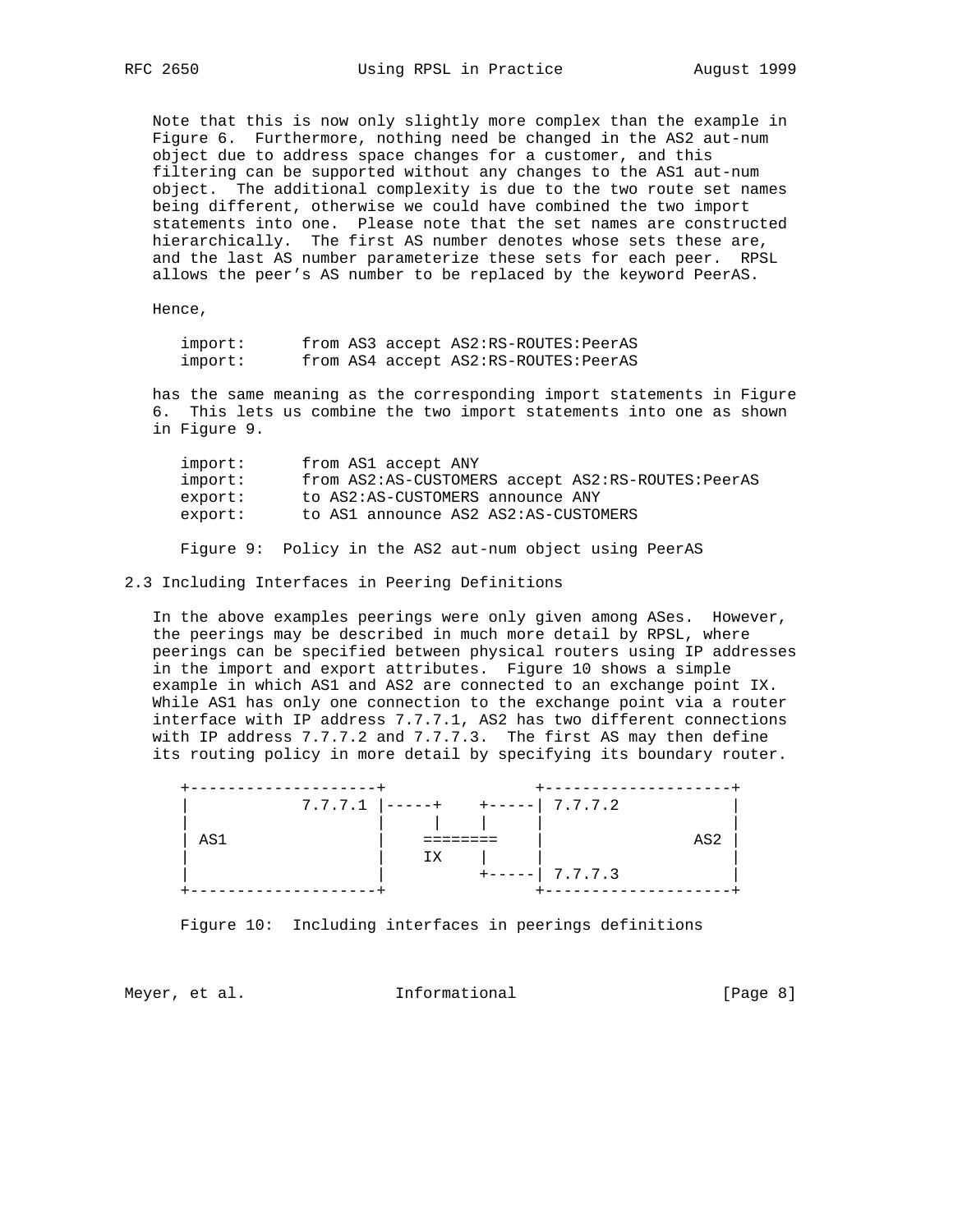Note that this is now only slightly more complex than the example in Figure 6. Furthermore, nothing need be changed in the AS2 aut-num object due to address space changes for a customer, and this filtering can be supported without any changes to the AS1 aut-num object. The additional complexity is due to the two route set names being different, otherwise we could have combined the two import statements into one. Please note that the set names are constructed hierarchically. The first AS number denotes whose sets these are, and the last AS number parameterize these sets for each peer. RPSL allows the peer's AS number to be replaced by the keyword PeerAS.

Hence,

| import: |  | from AS3 accept AS2:RS-ROUTES: PeerAS |
|---------|--|---------------------------------------|
| import: |  | from AS4 accept AS2:RS-ROUTES: PeerAS |

 has the same meaning as the corresponding import statements in Figure 6. This lets us combine the two import statements into one as shown in Figure 9.

| import: | from AS1 accept ANY                               |
|---------|---------------------------------------------------|
| import: | from AS2:AS-CUSTOMERS accept AS2:RS-ROUTES:PeerAS |
| export: | to AS2:AS-CUSTOMERS announce ANY                  |
| export: | to AS1 announce AS2 AS2:AS-CUSTOMERS              |
|         |                                                   |

Figure 9: Policy in the AS2 aut-num object using PeerAS

### 2.3 Including Interfaces in Peering Definitions

 In the above examples peerings were only given among ASes. However, the peerings may be described in much more detail by RPSL, where peerings can be specified between physical routers using IP addresses in the import and export attributes. Figure 10 shows a simple example in which AS1 and AS2 are connected to an exchange point IX. While AS1 has only one connection to the exchange point via a router interface with IP address 7.7.7.1, AS2 has two different connections with IP address 7.7.7.2 and 7.7.7.3. The first AS may then define its routing policy in more detail by specifying its boundary router.



Figure 10: Including interfaces in peerings definitions

Meyer, et al.  $I_n$  Informational [Page 8]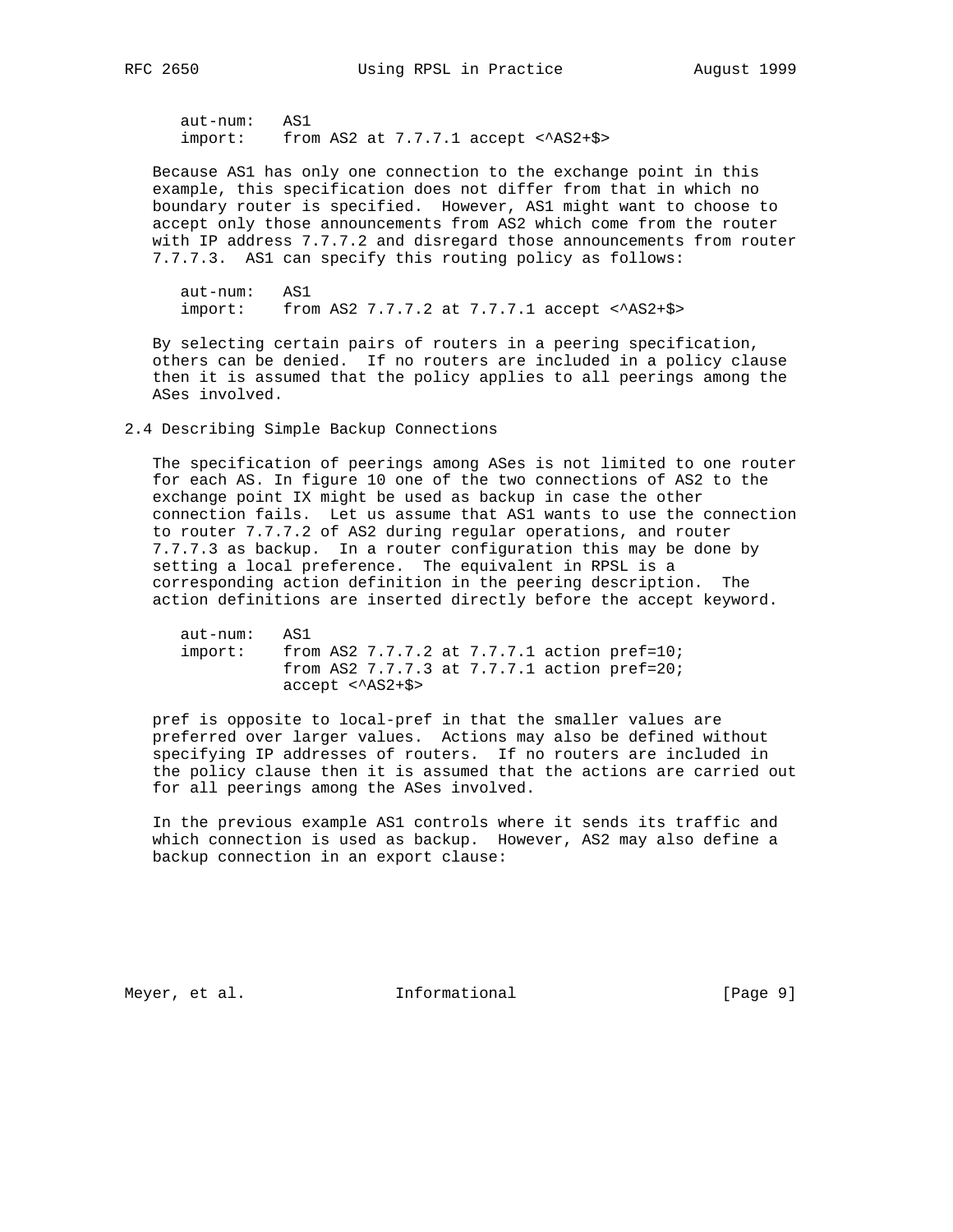aut-num: AS1  $import:$  from AS2 at  $7.7.7.1$  accept  $\langle$ AS2+\$>

 Because AS1 has only one connection to the exchange point in this example, this specification does not differ from that in which no boundary router is specified. However, AS1 might want to choose to accept only those announcements from AS2 which come from the router with IP address 7.7.7.2 and disregard those announcements from router 7.7.7.3. AS1 can specify this routing policy as follows:

 aut-num: AS1 import: from AS2 7.7.7.2 at 7.7.7.1 accept  $\langle$ AS2+\$>

 By selecting certain pairs of routers in a peering specification, others can be denied. If no routers are included in a policy clause then it is assumed that the policy applies to all peerings among the ASes involved.

## 2.4 Describing Simple Backup Connections

 The specification of peerings among ASes is not limited to one router for each AS. In figure 10 one of the two connections of AS2 to the exchange point IX might be used as backup in case the other connection fails. Let us assume that AS1 wants to use the connection to router 7.7.7.2 of AS2 during regular operations, and router 7.7.7.3 as backup. In a router configuration this may be done by setting a local preference. The equivalent in RPSL is a corresponding action definition in the peering description. The action definitions are inserted directly before the accept keyword.

```
 aut-num: AS1
 import: from AS2 7.7.7.2 at 7.7.7.1 action pref=10;
           from AS2 7.7.7.3 at 7.7.7.1 action pref=20;
           accept <^AS2+$>
```
 pref is opposite to local-pref in that the smaller values are preferred over larger values. Actions may also be defined without specifying IP addresses of routers. If no routers are included in the policy clause then it is assumed that the actions are carried out for all peerings among the ASes involved.

 In the previous example AS1 controls where it sends its traffic and which connection is used as backup. However, AS2 may also define a backup connection in an export clause:

Meyer, et al. 100 Informational 100 Meyer, et al.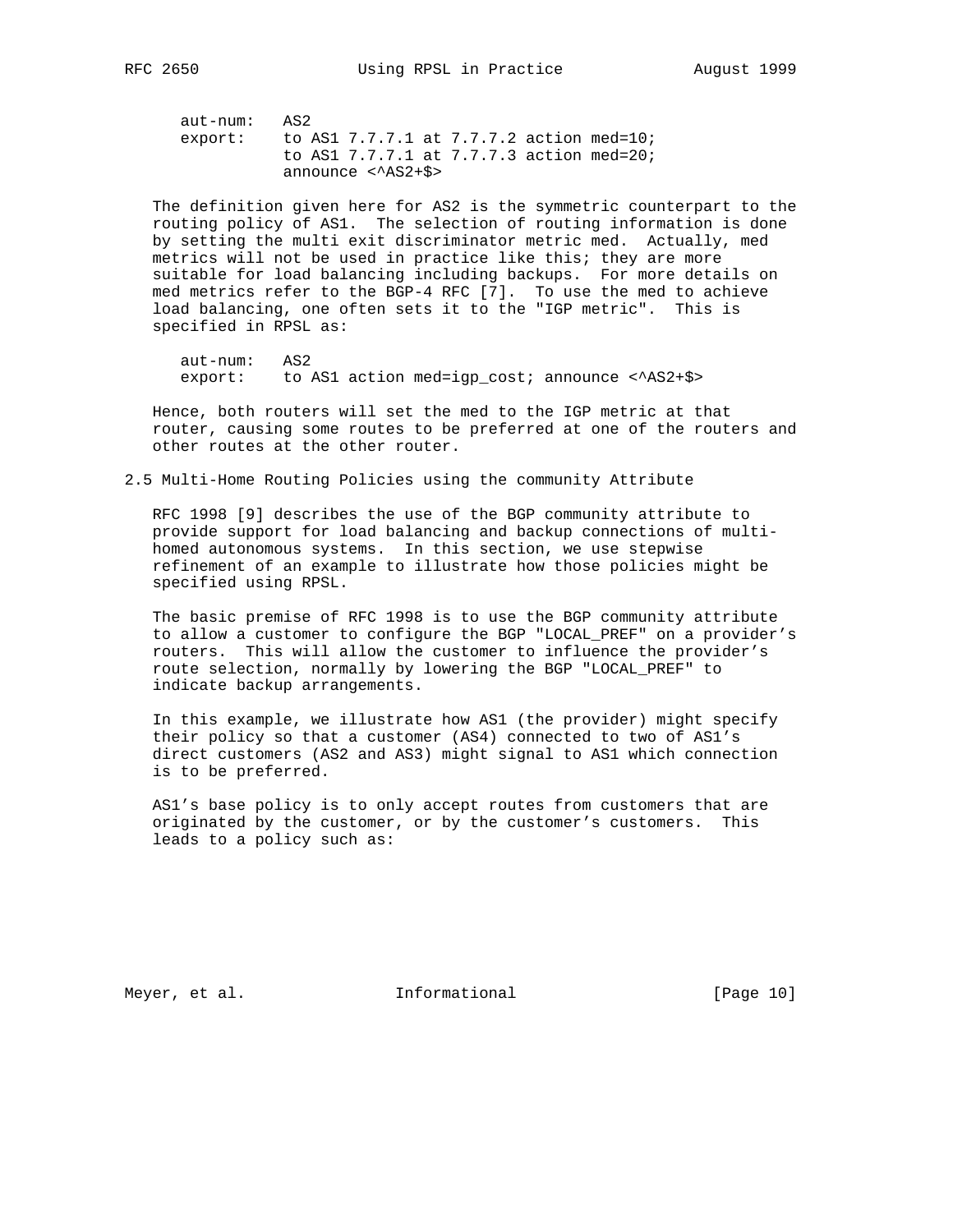aut-num: AS2 export: to AS1 7.7.7.1 at 7.7.7.2 action med=10; to AS1 7.7.7.1 at 7.7.7.3 action med=20; announce <^AS2+\$>

 The definition given here for AS2 is the symmetric counterpart to the routing policy of AS1. The selection of routing information is done by setting the multi exit discriminator metric med. Actually, med metrics will not be used in practice like this; they are more suitable for load balancing including backups. For more details on med metrics refer to the BGP-4 RFC [7]. To use the med to achieve load balancing, one often sets it to the "IGP metric". This is specified in RPSL as:

 aut-num: AS2 export: to AS1 action med=igp cost; announce  $\langle ASS+SS\rangle$ 

 Hence, both routers will set the med to the IGP metric at that router, causing some routes to be preferred at one of the routers and other routes at the other router.

2.5 Multi-Home Routing Policies using the community Attribute

 RFC 1998 [9] describes the use of the BGP community attribute to provide support for load balancing and backup connections of multi homed autonomous systems. In this section, we use stepwise refinement of an example to illustrate how those policies might be specified using RPSL.

 The basic premise of RFC 1998 is to use the BGP community attribute to allow a customer to configure the BGP "LOCAL\_PREF" on a provider's routers. This will allow the customer to influence the provider's route selection, normally by lowering the BGP "LOCAL\_PREF" to indicate backup arrangements.

 In this example, we illustrate how AS1 (the provider) might specify their policy so that a customer (AS4) connected to two of AS1's direct customers (AS2 and AS3) might signal to AS1 which connection is to be preferred.

 AS1's base policy is to only accept routes from customers that are originated by the customer, or by the customer's customers. This leads to a policy such as:

Meyer, et al. 10 Informational 10 [Page 10]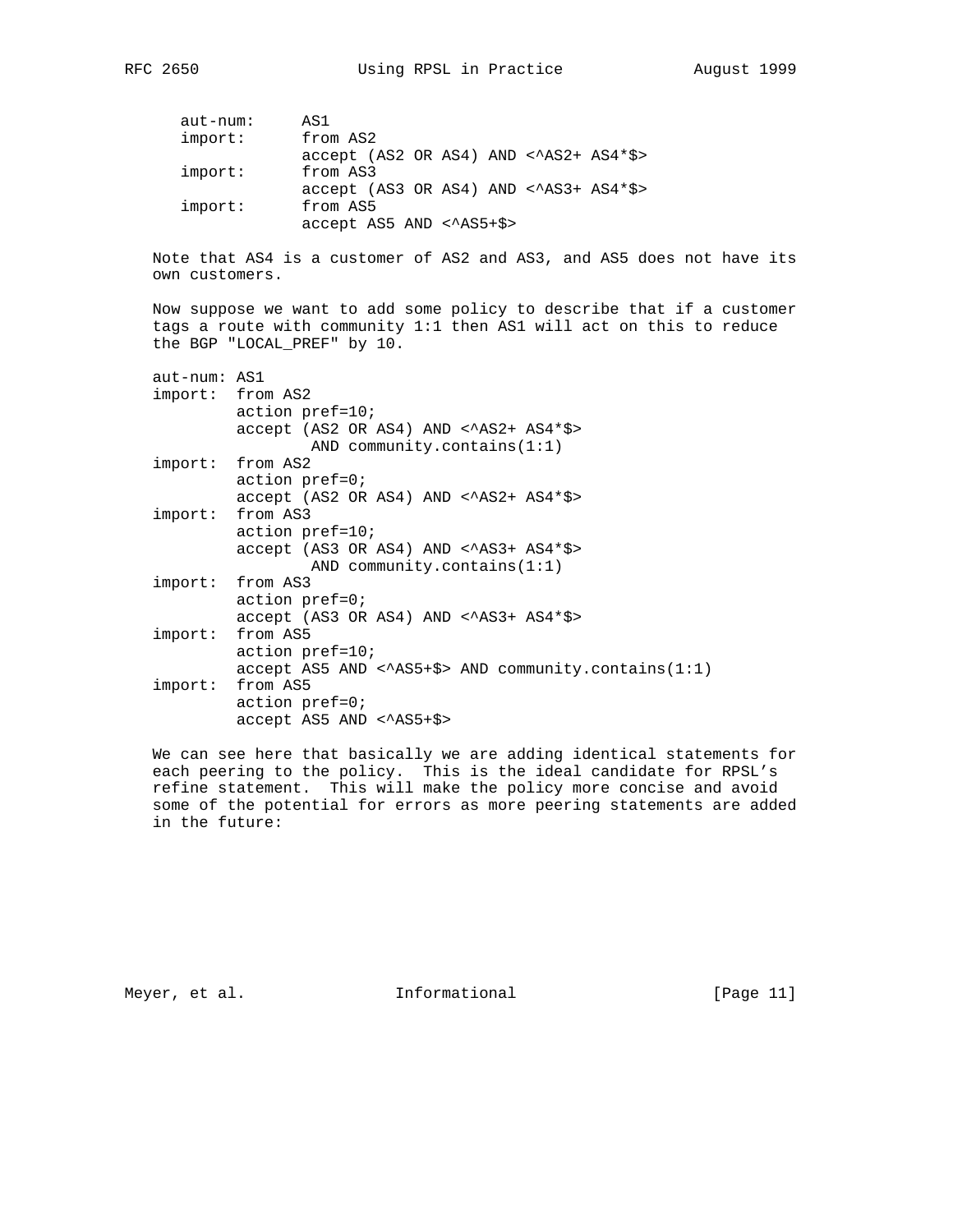RFC 2650 Using RPSL in Practice August 1999

| $aut-num:$ | AS1                                              |
|------------|--------------------------------------------------|
| import:    | from AS2                                         |
|            | $accept$ (AS2 OR AS4) AND $\langle$ AS2+ AS4*\$> |
| import:    | from AS3                                         |
|            | $accept$ (AS3 OR AS4) AND < $\text{AS3+AS4*}\$   |
| import:    | from AS5                                         |
|            | accept AS5 AND < AS5+\$>                         |

 Note that AS4 is a customer of AS2 and AS3, and AS5 does not have its own customers.

 Now suppose we want to add some policy to describe that if a customer tags a route with community 1:1 then AS1 will act on this to reduce the BGP "LOCAL\_PREF" by 10.

| aut-num: AS1 | import: from AS2                                                                  |
|--------------|-----------------------------------------------------------------------------------|
|              | $actionpref=10;$                                                                  |
|              | $accept (AS2 OR AS4) AND < \angle AS2+ AS4*$ \$<br>AND community.contains $(1:1)$ |
|              | import: from AS2                                                                  |
|              | $actionpref=0$ ;                                                                  |
|              | $accept (AS2 OR AS4) AND < \angle AS2+ AS4*$ \$                                   |
|              | import: from AS3                                                                  |
|              | $actionpref=10;$                                                                  |
|              | $accept (AS3 OR AS4) AND < \angle AS3+ AS4*$ \$                                   |
|              | AND community.contains $(1:1)$                                                    |
|              | import: from AS3                                                                  |
|              | $actionpref=0$ ;                                                                  |
|              | $accept (AS3 OR AS4) AND < \AA S3 + AS4 * $>$                                     |
|              | import: from AS5                                                                  |
|              | $actionpref=10$ ;                                                                 |
|              | $accept$ AS5 AND < $AS5+\$>$ AND community.contains(1:1)                          |
|              | import: from AS5                                                                  |
|              | $actionpref=0$ ;                                                                  |
|              | accept AS5 AND < AS5+\$>                                                          |

 We can see here that basically we are adding identical statements for each peering to the policy. This is the ideal candidate for RPSL's refine statement. This will make the policy more concise and avoid some of the potential for errors as more peering statements are added in the future:

Meyer, et al. 10. Informational 1. [Page 11]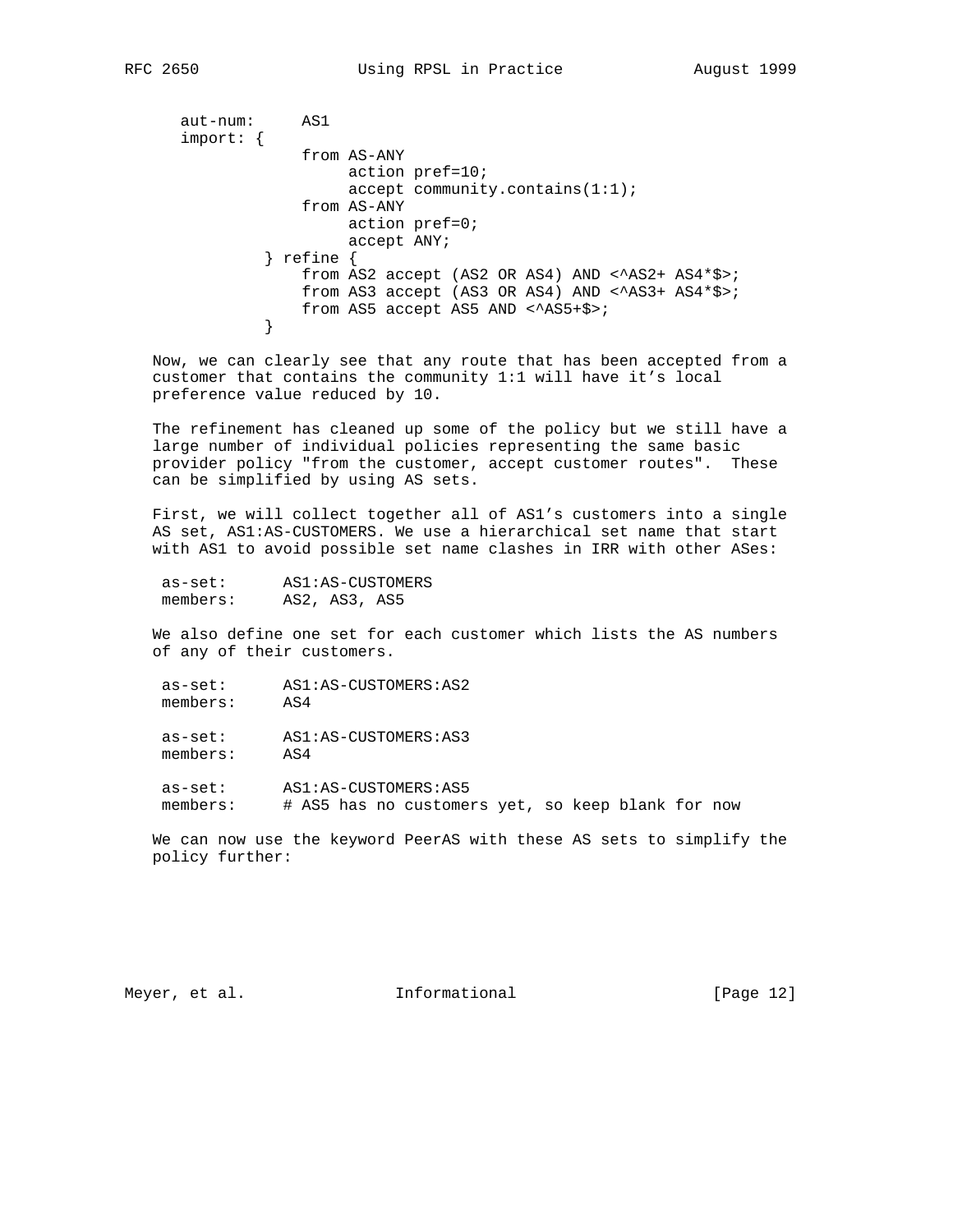aut-num: AS1 import: { from AS-ANY action pref=10; accept community.contains(1:1); from AS-ANY action pref=0; accept ANY; } refine { from AS2 accept (AS2 OR AS4) AND <^AS2+ AS4\*\$>; from AS3 accept (AS3 OR AS4) AND  $\langle$ AS3+ AS4\*\$>; from AS5 accept AS5 AND <^AS5+\$>; }

 Now, we can clearly see that any route that has been accepted from a customer that contains the community 1:1 will have it's local preference value reduced by 10.

 The refinement has cleaned up some of the policy but we still have a large number of individual policies representing the same basic provider policy "from the customer, accept customer routes". These can be simplified by using AS sets.

 First, we will collect together all of AS1's customers into a single AS set, AS1:AS-CUSTOMERS. We use a hierarchical set name that start with AS1 to avoid possible set name clashes in IRR with other ASes:

| as-set:  | AS1:AS-CUSTOMERS |
|----------|------------------|
| members: | AS2, AS3, AS5    |

 We also define one set for each customer which lists the AS numbers of any of their customers.

 as-set: AS1:AS-CUSTOMERS:AS2 members: AS4

 as-set: AS1:AS-CUSTOMERS:AS3 members: AS4

as-set: AS1:AS-CUSTOMERS:AS5<br>members: # AS5 has no custome # AS5 has no customers yet, so keep blank for now

 We can now use the keyword PeerAS with these AS sets to simplify the policy further:

Meyer, et al. 10. Informational 1. [Page 12]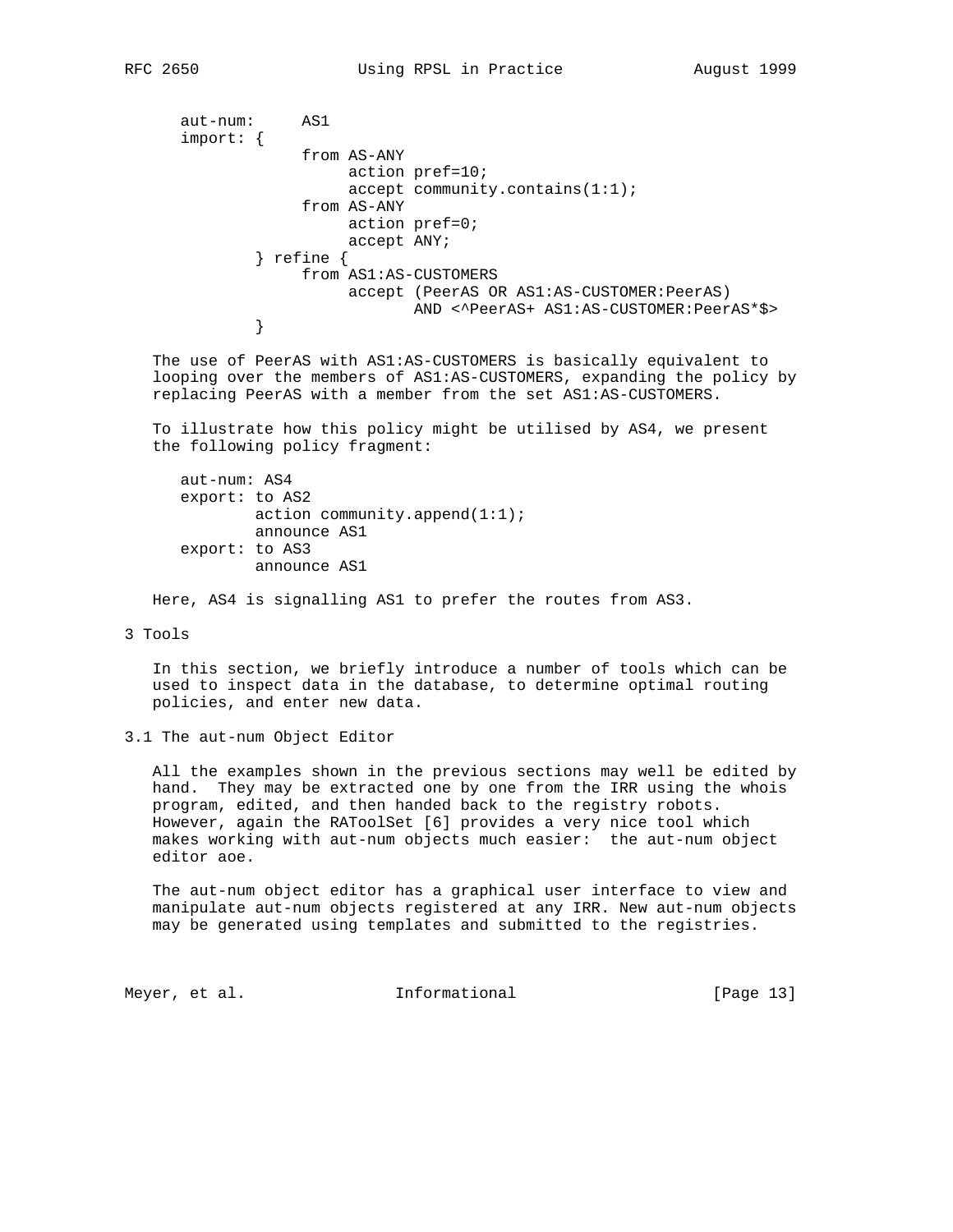```
 aut-num: AS1
      import: {
                  from AS-ANY
                      action pref=10;
                      accept community.contains(1:1);
                  from AS-ANY
                      action pref=0;
                      accept ANY;
              } refine {
                  from AS1:AS-CUSTOMERS
                      accept (PeerAS OR AS1:AS-CUSTOMER:PeerAS)
            AND <^PeerAS+ AS1:AS-CUSTOMER:PeerAS*$>
 }
```
 The use of PeerAS with AS1:AS-CUSTOMERS is basically equivalent to looping over the members of AS1:AS-CUSTOMERS, expanding the policy by replacing PeerAS with a member from the set AS1:AS-CUSTOMERS.

 To illustrate how this policy might be utilised by AS4, we present the following policy fragment:

```
 aut-num: AS4
 export: to AS2
        action community.append(1:1); announce AS1
 export: to AS3
         announce AS1
```
Here, AS4 is signalling AS1 to prefer the routes from AS3.

3 Tools

 In this section, we briefly introduce a number of tools which can be used to inspect data in the database, to determine optimal routing policies, and enter new data.

3.1 The aut-num Object Editor

 All the examples shown in the previous sections may well be edited by hand. They may be extracted one by one from the IRR using the whois program, edited, and then handed back to the registry robots. However, again the RAToolSet [6] provides a very nice tool which makes working with aut-num objects much easier: the aut-num object editor aoe.

 The aut-num object editor has a graphical user interface to view and manipulate aut-num objects registered at any IRR. New aut-num objects may be generated using templates and submitted to the registries.

Meyer, et al. 10. Informational 1. [Page 13]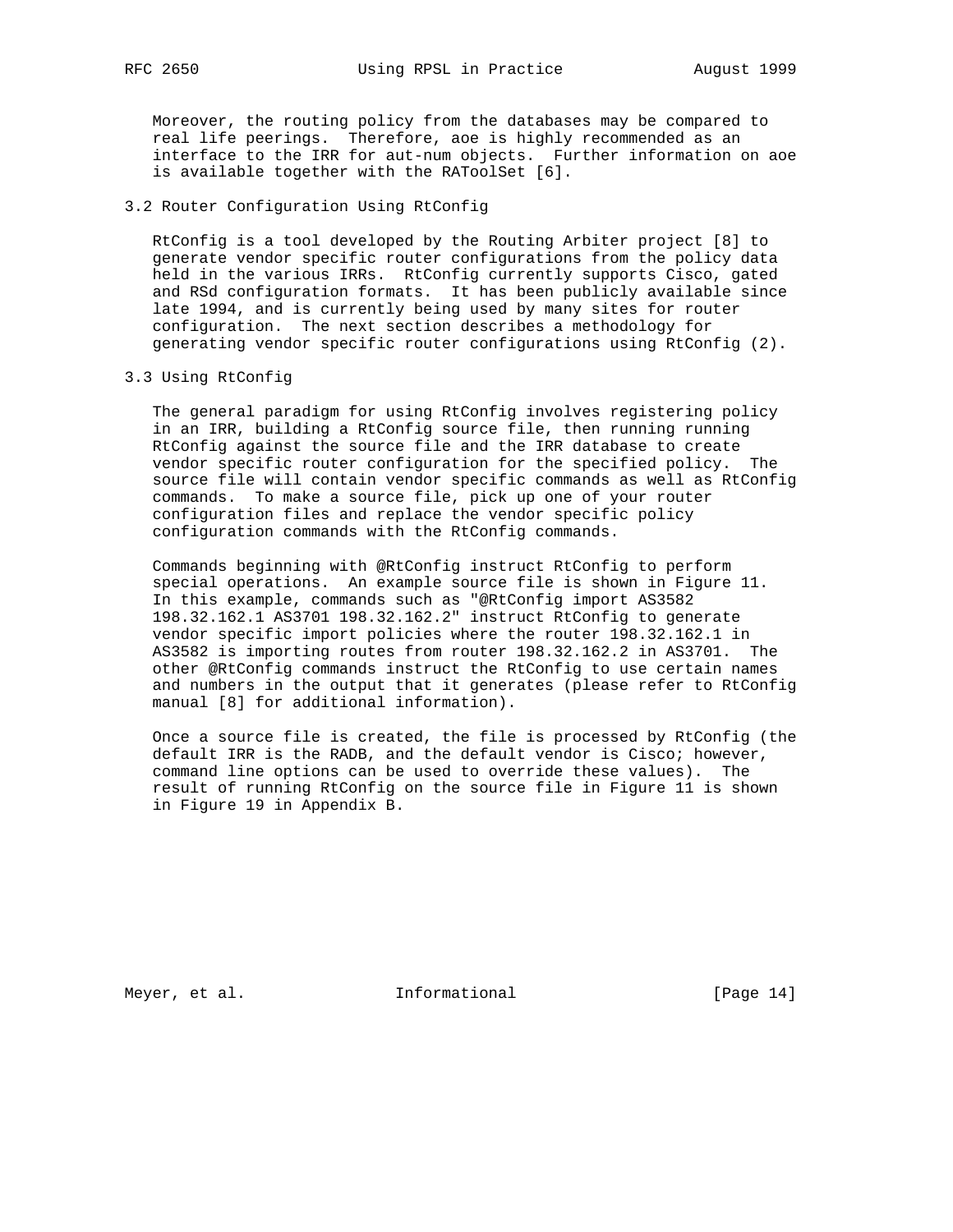Moreover, the routing policy from the databases may be compared to real life peerings. Therefore, aoe is highly recommended as an interface to the IRR for aut-num objects. Further information on aoe is available together with the RAToolSet [6].

# 3.2 Router Configuration Using RtConfig

 RtConfig is a tool developed by the Routing Arbiter project [8] to generate vendor specific router configurations from the policy data held in the various IRRs. RtConfig currently supports Cisco, gated and RSd configuration formats. It has been publicly available since late 1994, and is currently being used by many sites for router configuration. The next section describes a methodology for generating vendor specific router configurations using RtConfig (2).

## 3.3 Using RtConfig

 The general paradigm for using RtConfig involves registering policy in an IRR, building a RtConfig source file, then running running RtConfig against the source file and the IRR database to create vendor specific router configuration for the specified policy. The source file will contain vendor specific commands as well as RtConfig commands. To make a source file, pick up one of your router configuration files and replace the vendor specific policy configuration commands with the RtConfig commands.

 Commands beginning with @RtConfig instruct RtConfig to perform special operations. An example source file is shown in Figure 11. In this example, commands such as "@RtConfig import AS3582 198.32.162.1 AS3701 198.32.162.2" instruct RtConfig to generate vendor specific import policies where the router 198.32.162.1 in AS3582 is importing routes from router 198.32.162.2 in AS3701. The other @RtConfig commands instruct the RtConfig to use certain names and numbers in the output that it generates (please refer to RtConfig manual [8] for additional information).

 Once a source file is created, the file is processed by RtConfig (the default IRR is the RADB, and the default vendor is Cisco; however, command line options can be used to override these values). The result of running RtConfig on the source file in Figure 11 is shown in Figure 19 in Appendix B.

Meyer, et al. 10. Informational 1. [Page 14]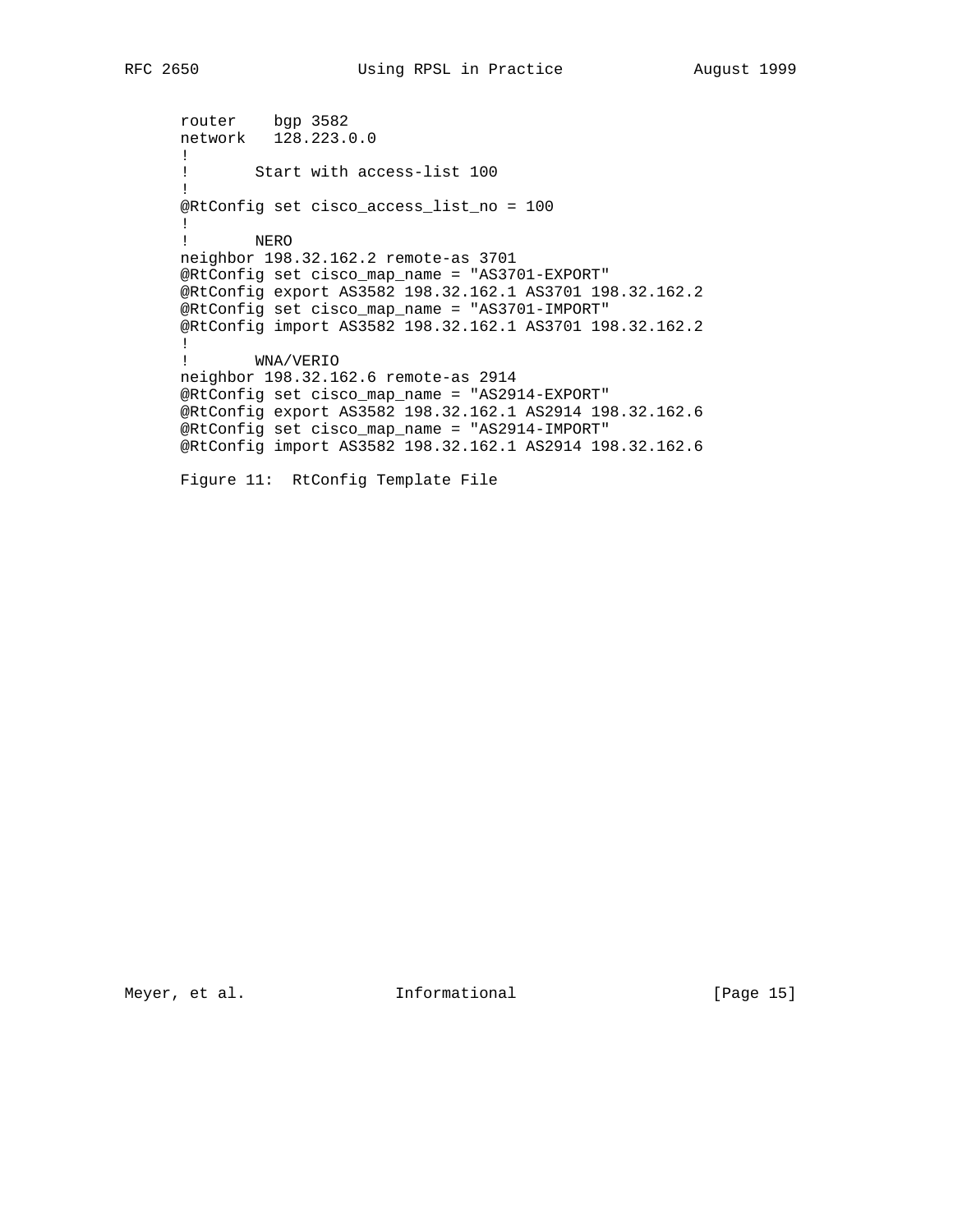router bgp 3582 network 128.223.0.0 ! ! Start with access-list 100 ! @RtConfig set cisco\_access\_list\_no = 100 ! ! NERO neighbor 198.32.162.2 remote-as 3701 @RtConfig set cisco\_map\_name = "AS3701-EXPORT" @RtConfig export AS3582 198.32.162.1 AS3701 198.32.162.2 @RtConfig set cisco\_map\_name = "AS3701-IMPORT" @RtConfig import AS3582 198.32.162.1 AS3701 198.32.162.2 ! ! WNA/VERIO neighbor 198.32.162.6 remote-as 2914 @RtConfig set cisco\_map\_name = "AS2914-EXPORT" @RtConfig export AS3582 198.32.162.1 AS2914 198.32.162.6 @RtConfig set cisco\_map\_name = "AS2914-IMPORT" @RtConfig import AS3582 198.32.162.1 AS2914 198.32.162.6 Figure 11: RtConfig Template File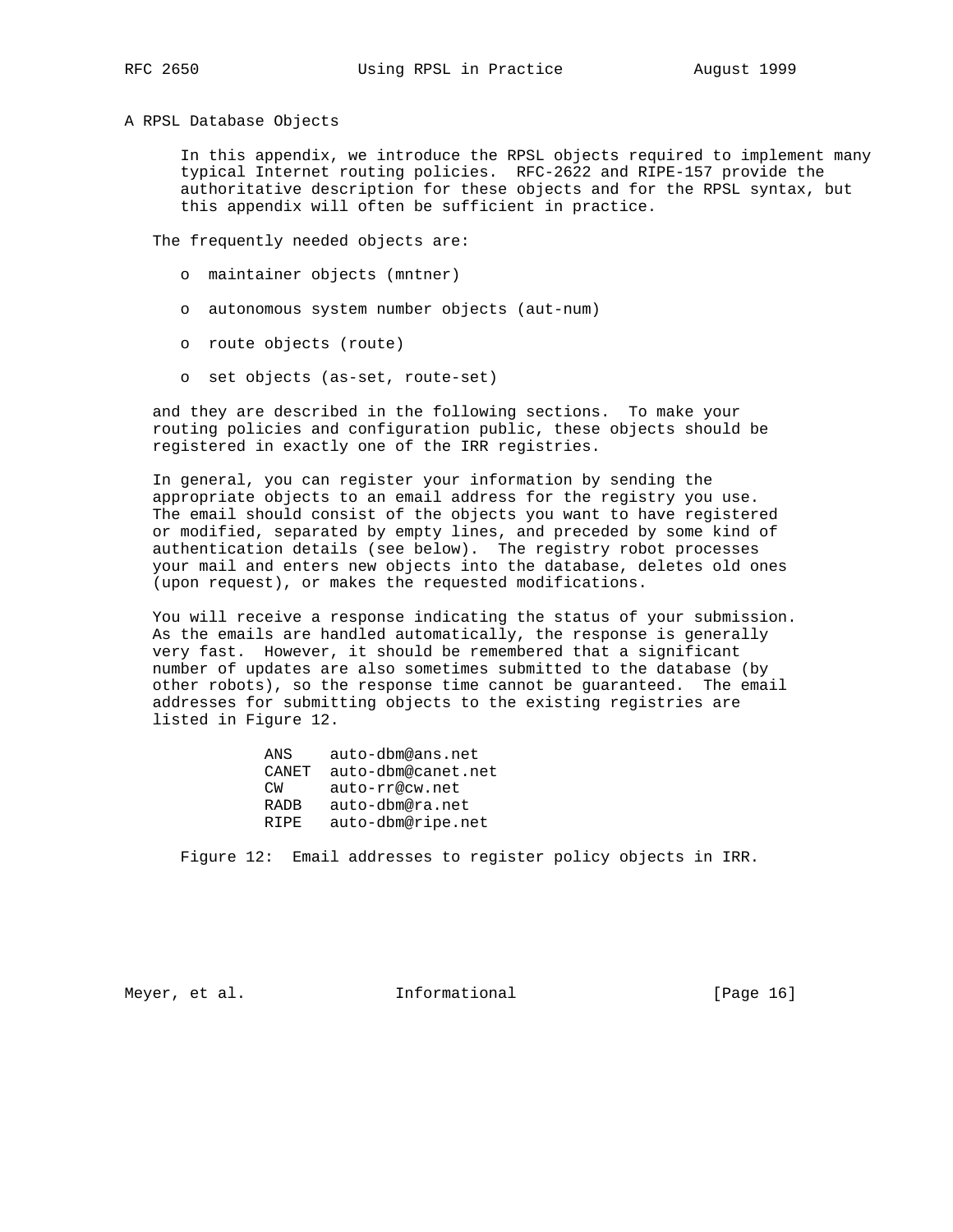A RPSL Database Objects

 In this appendix, we introduce the RPSL objects required to implement many typical Internet routing policies. RFC-2622 and RIPE-157 provide the authoritative description for these objects and for the RPSL syntax, but this appendix will often be sufficient in practice.

The frequently needed objects are:

- o maintainer objects (mntner)
- o autonomous system number objects (aut-num)
- o route objects (route)
- o set objects (as-set, route-set)

 and they are described in the following sections. To make your routing policies and configuration public, these objects should be registered in exactly one of the IRR registries.

 In general, you can register your information by sending the appropriate objects to an email address for the registry you use. The email should consist of the objects you want to have registered or modified, separated by empty lines, and preceded by some kind of authentication details (see below). The registry robot processes your mail and enters new objects into the database, deletes old ones (upon request), or makes the requested modifications.

 You will receive a response indicating the status of your submission. As the emails are handled automatically, the response is generally very fast. However, it should be remembered that a significant number of updates are also sometimes submitted to the database (by other robots), so the response time cannot be guaranteed. The email addresses for submitting objects to the existing registries are listed in Figure 12.

| ANS         | auto-dbm@ans.net   |
|-------------|--------------------|
| CANET       | auto-dbm@canet.net |
| C™          | auto-rr@cw.net     |
| <b>RADB</b> | auto-dbm@ra.net    |
| R T P F.    | auto-dbm@ripe.net  |

Figure 12: Email addresses to register policy objects in IRR.

Meyer, et al.  $I_n$  Informational [Page 16]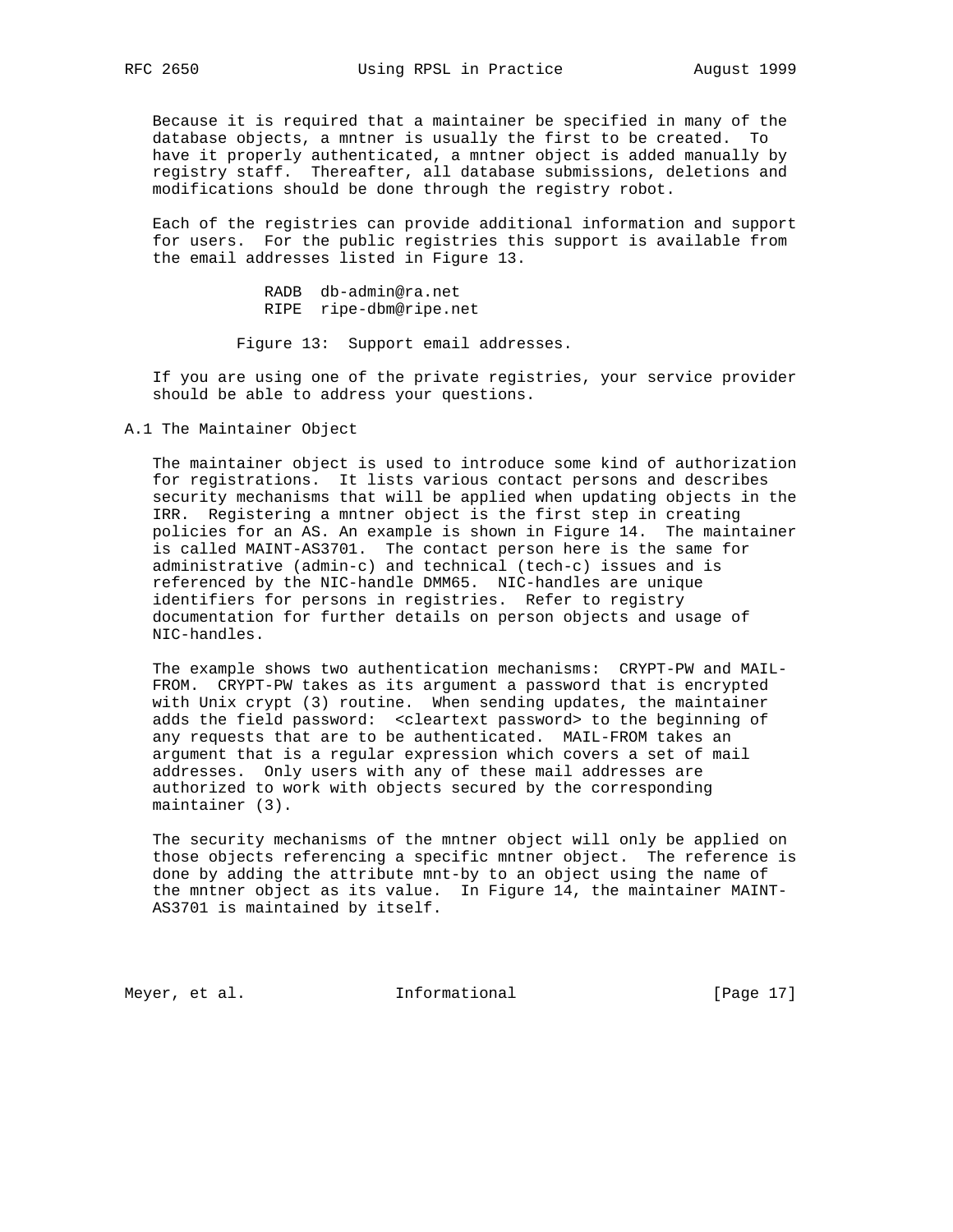Because it is required that a maintainer be specified in many of the database objects, a mntner is usually the first to be created. To have it properly authenticated, a mntner object is added manually by registry staff. Thereafter, all database submissions, deletions and modifications should be done through the registry robot.

 Each of the registries can provide additional information and support for users. For the public registries this support is available from the email addresses listed in Figure 13.

> RADB db-admin@ra.net RIPE ripe-dbm@ripe.net

Figure 13: Support email addresses.

 If you are using one of the private registries, your service provider should be able to address your questions.

A.1 The Maintainer Object

 The maintainer object is used to introduce some kind of authorization for registrations. It lists various contact persons and describes security mechanisms that will be applied when updating objects in the IRR. Registering a mntner object is the first step in creating policies for an AS. An example is shown in Figure 14. The maintainer is called MAINT-AS3701. The contact person here is the same for administrative (admin-c) and technical (tech-c) issues and is referenced by the NIC-handle DMM65. NIC-handles are unique identifiers for persons in registries. Refer to registry documentation for further details on person objects and usage of NIC-handles.

 The example shows two authentication mechanisms: CRYPT-PW and MAIL- FROM. CRYPT-PW takes as its argument a password that is encrypted with Unix crypt (3) routine. When sending updates, the maintainer adds the field password: <cleartext password> to the beginning of any requests that are to be authenticated. MAIL-FROM takes an argument that is a regular expression which covers a set of mail addresses. Only users with any of these mail addresses are authorized to work with objects secured by the corresponding maintainer (3).

 The security mechanisms of the mntner object will only be applied on those objects referencing a specific mntner object. The reference is done by adding the attribute mnt-by to an object using the name of the mntner object as its value. In Figure 14, the maintainer MAINT- AS3701 is maintained by itself.

Meyer, et al. 10. Informational 1. [Page 17]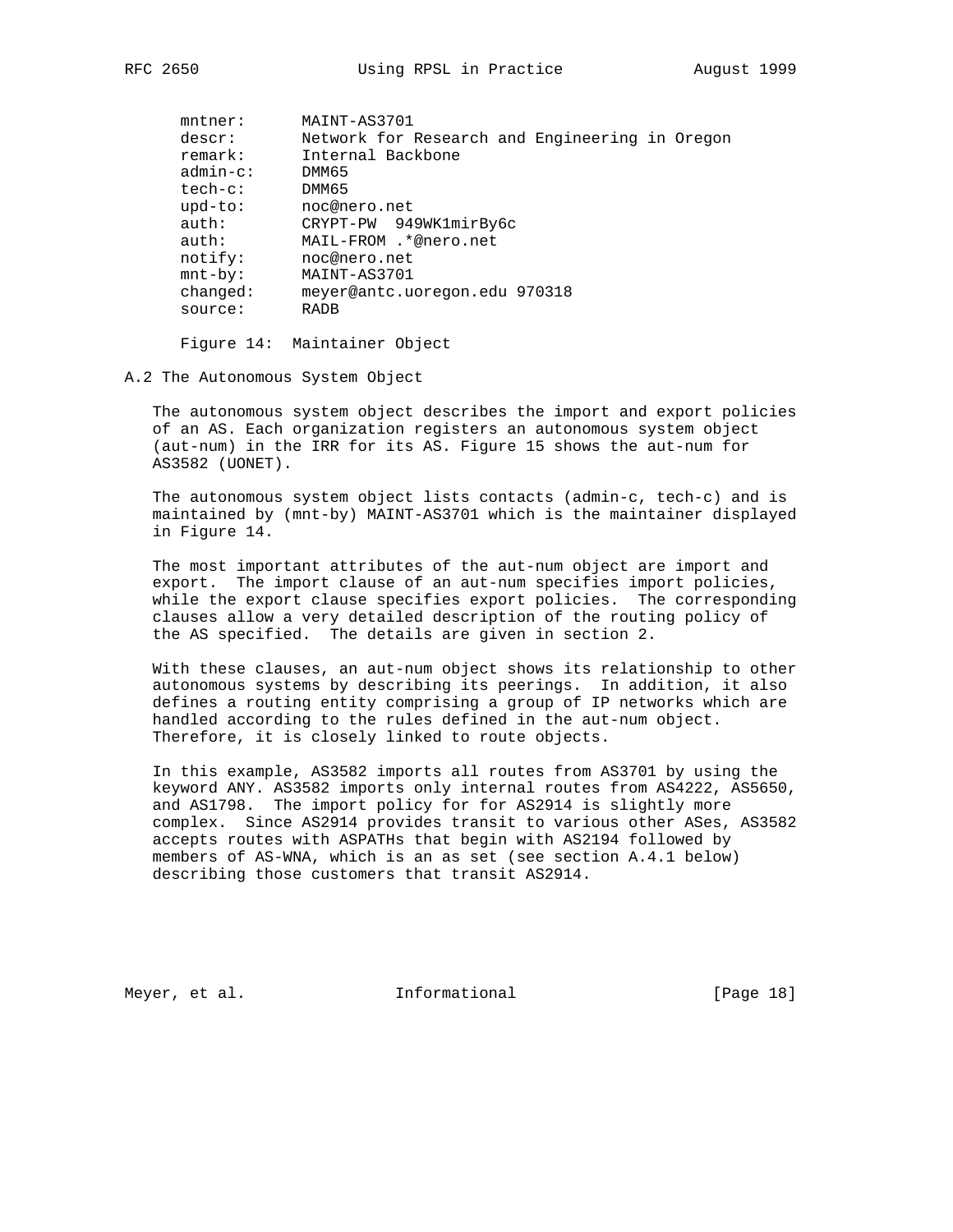| $m$ tner:   | MAINT-AS3701                                   |
|-------------|------------------------------------------------|
| descr:      | Network for Research and Engineering in Oregon |
| remark:     | Internal Backbone                              |
| $admin-c$ : | DMM65                                          |
| $tech-c$ :  | DMM65                                          |
| $upd-to$ :  | noc@nero.net                                   |
| auth:       | CRYPT-PW 949WK1mirBy6c                         |
| auth:       | MAIL-FROM .*@nero.net                          |
| notify:     | noc@nero.net                                   |
| $mnt-by$ :  | MAINT-AS3701                                   |
| changed:    | meyer@antc.uoregon.edu 970318                  |
| source:     | <b>RADB</b>                                    |
|             |                                                |

Figure 14: Maintainer Object

A.2 The Autonomous System Object

 The autonomous system object describes the import and export policies of an AS. Each organization registers an autonomous system object (aut-num) in the IRR for its AS. Figure 15 shows the aut-num for AS3582 (UONET).

 The autonomous system object lists contacts (admin-c, tech-c) and is maintained by (mnt-by) MAINT-AS3701 which is the maintainer displayed in Figure 14.

 The most important attributes of the aut-num object are import and export. The import clause of an aut-num specifies import policies, while the export clause specifies export policies. The corresponding clauses allow a very detailed description of the routing policy of the AS specified. The details are given in section 2.

 With these clauses, an aut-num object shows its relationship to other autonomous systems by describing its peerings. In addition, it also defines a routing entity comprising a group of IP networks which are handled according to the rules defined in the aut-num object. Therefore, it is closely linked to route objects.

 In this example, AS3582 imports all routes from AS3701 by using the keyword ANY. AS3582 imports only internal routes from AS4222, AS5650, and AS1798. The import policy for for AS2914 is slightly more complex. Since AS2914 provides transit to various other ASes, AS3582 accepts routes with ASPATHs that begin with AS2194 followed by members of AS-WNA, which is an as set (see section A.4.1 below) describing those customers that transit AS2914.

Meyer, et al. 10. Informational 1. [Page 18]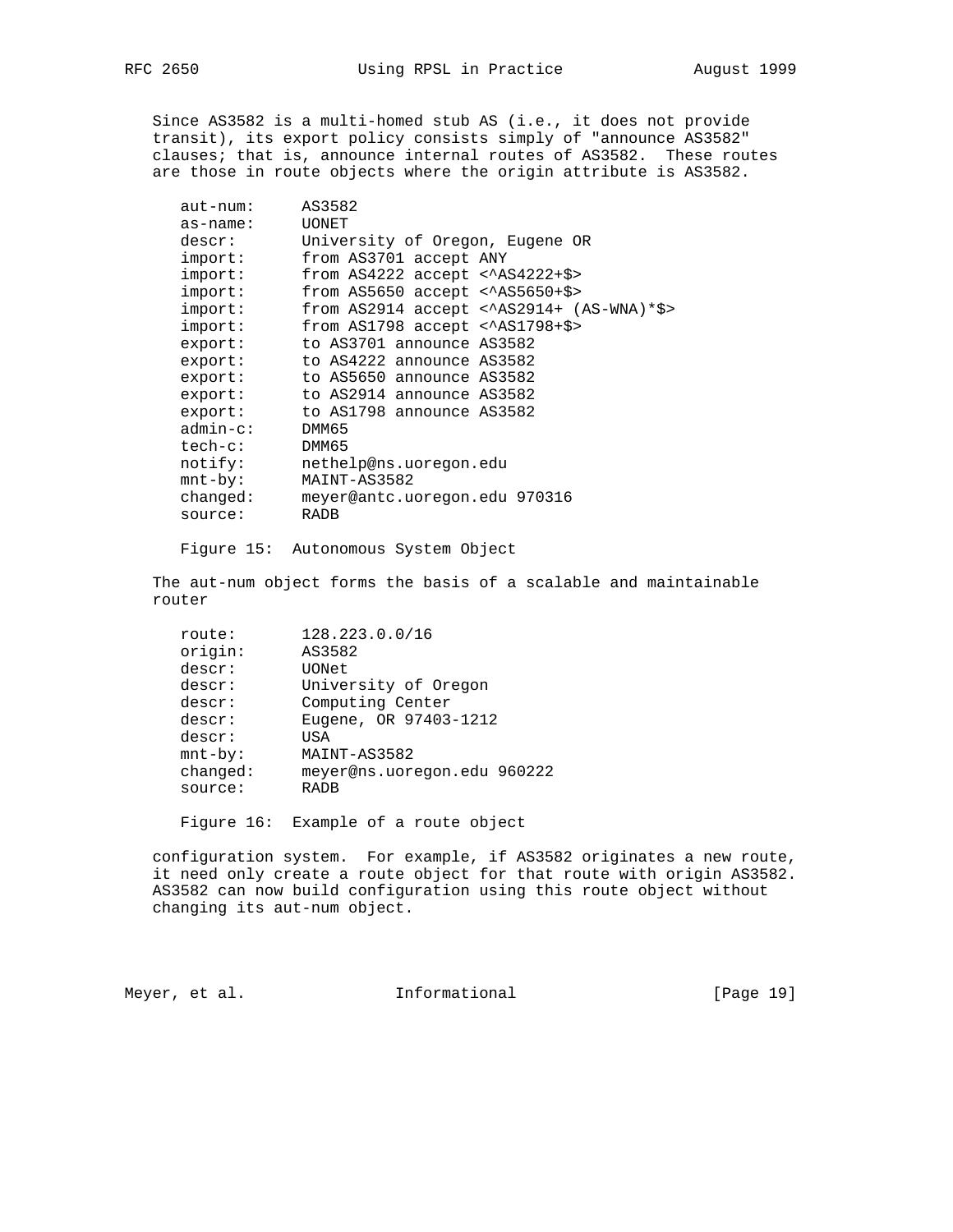are those in route objects where the origin attribute is AS3582.

 Since AS3582 is a multi-homed stub AS (i.e., it does not provide transit), its export policy consists simply of "announce AS3582" clauses; that is, announce internal routes of AS3582. These routes

| $aut-num:$  | AS3582                                       |
|-------------|----------------------------------------------|
| $as$ -name: | <b>UONET</b>                                 |
| descr:      | University of Oregon, Eugene OR              |
| import:     | from AS3701 accept ANY                       |
| import:     | from $AS4222$ accept < $AS4222+$>$           |
| import:     | from $AS5650$ accept < $AS5650+$>$           |
| import:     | from $AS2914$ accept < $AS2914+ (AS-WNA)*S>$ |
| import:     | from $AS1798$ accept < $AS1798+$>$           |
| export:     | to AS3701 announce AS3582                    |
| export:     | to AS4222 announce AS3582                    |
| export:     | to AS5650 announce AS3582                    |
| export:     | to AS2914 announce AS3582                    |
| export:     | to AS1798 announce AS3582                    |
| $admin-c$ : | DMM65                                        |
| tech-c:     | DMM65                                        |
| notify:     | nethelp@ns.uoregon.edu                       |
| $mnt-by$ :  | MAINT-AS3582                                 |
| changed:    | meyer@antc.uoregon.edu 970316                |
| source:     | <b>RADB</b>                                  |
|             |                                              |

Figure 15: Autonomous System Object

 The aut-num object forms the basis of a scalable and maintainable router

| route:     | 128.223.0.0/16              |
|------------|-----------------------------|
| origin:    | AS3582                      |
| descr:     | UONet                       |
| descr:     | University of Oregon        |
| descr:     | Computing Center            |
| descr:     | Eugene, OR 97403-1212       |
| descr:     | USA                         |
| $mnt-by$ : | MAINT-AS3582                |
| changed:   | meyer@ns.uoregon.edu 960222 |
| source:    | <b>RADB</b>                 |
|            |                             |

Figure 16: Example of a route object

 configuration system. For example, if AS3582 originates a new route, it need only create a route object for that route with origin AS3582. AS3582 can now build configuration using this route object without changing its aut-num object.

Meyer, et al. 10. Informational 1. [Page 19]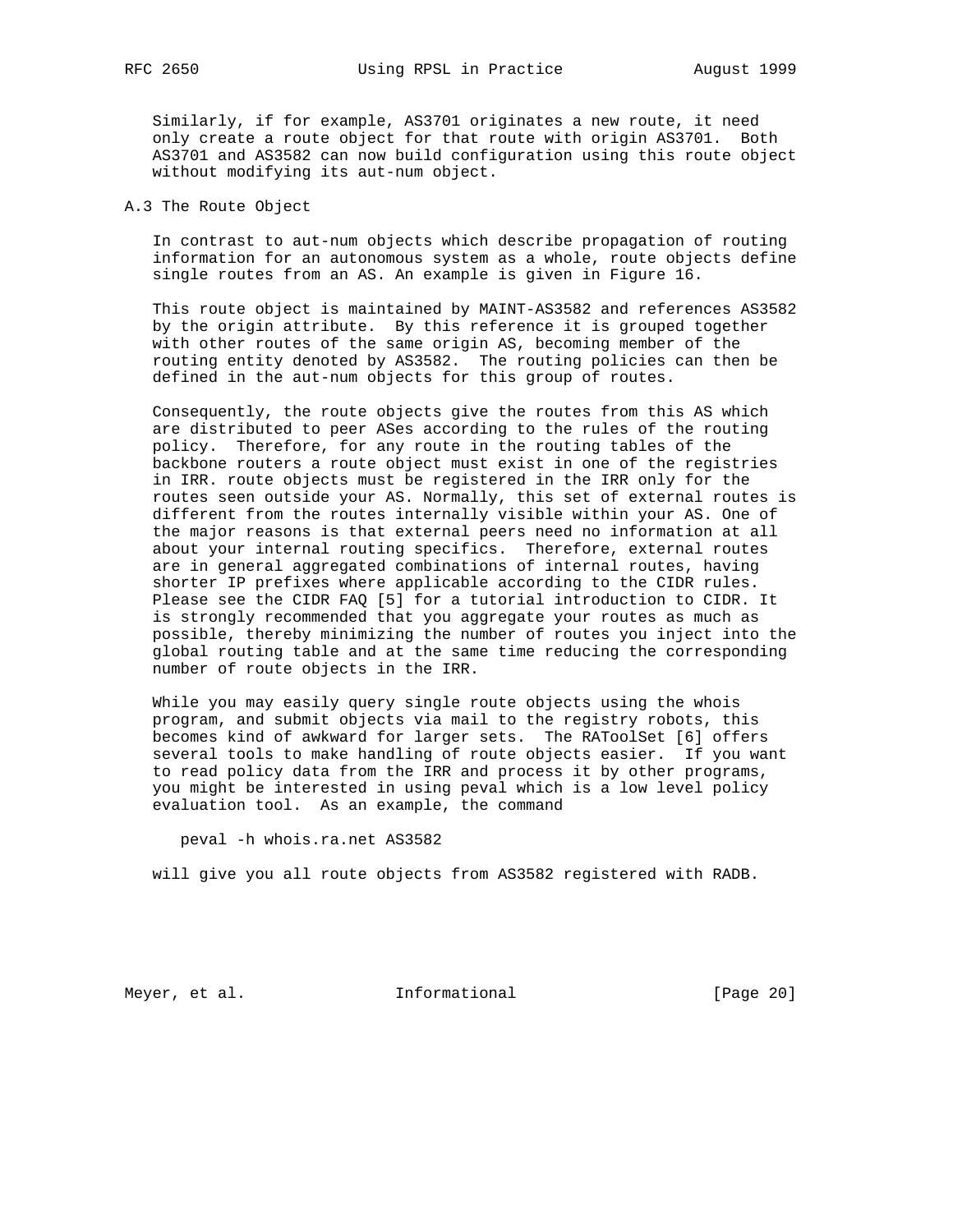Similarly, if for example, AS3701 originates a new route, it need only create a route object for that route with origin AS3701. Both AS3701 and AS3582 can now build configuration using this route object without modifying its aut-num object.

# A.3 The Route Object

 In contrast to aut-num objects which describe propagation of routing information for an autonomous system as a whole, route objects define single routes from an AS. An example is given in Figure 16.

 This route object is maintained by MAINT-AS3582 and references AS3582 by the origin attribute. By this reference it is grouped together with other routes of the same origin AS, becoming member of the routing entity denoted by AS3582. The routing policies can then be defined in the aut-num objects for this group of routes.

 Consequently, the route objects give the routes from this AS which are distributed to peer ASes according to the rules of the routing policy. Therefore, for any route in the routing tables of the backbone routers a route object must exist in one of the registries in IRR. route objects must be registered in the IRR only for the routes seen outside your AS. Normally, this set of external routes is different from the routes internally visible within your AS. One of the major reasons is that external peers need no information at all about your internal routing specifics. Therefore, external routes are in general aggregated combinations of internal routes, having shorter IP prefixes where applicable according to the CIDR rules. Please see the CIDR FAQ [5] for a tutorial introduction to CIDR. It is strongly recommended that you aggregate your routes as much as possible, thereby minimizing the number of routes you inject into the global routing table and at the same time reducing the corresponding number of route objects in the IRR.

 While you may easily query single route objects using the whois program, and submit objects via mail to the registry robots, this becomes kind of awkward for larger sets. The RAToolSet [6] offers several tools to make handling of route objects easier. If you want to read policy data from the IRR and process it by other programs, you might be interested in using peval which is a low level policy evaluation tool. As an example, the command

peval -h whois.ra.net AS3582

will give you all route objects from AS3582 registered with RADB.

Meyer, et al. 10 methormational 11 meyer, et al.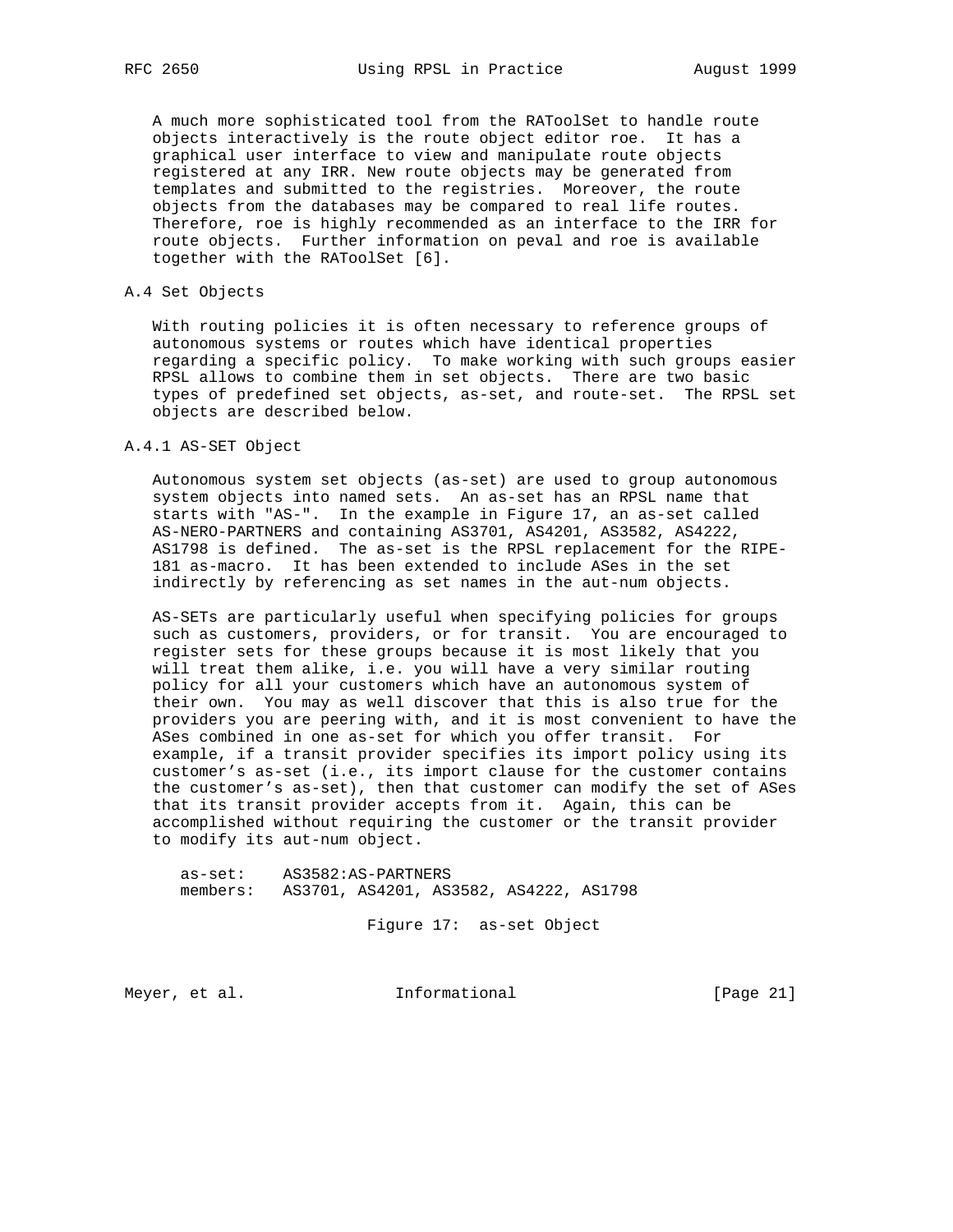A much more sophisticated tool from the RAToolSet to handle route objects interactively is the route object editor roe. It has a graphical user interface to view and manipulate route objects registered at any IRR. New route objects may be generated from templates and submitted to the registries. Moreover, the route objects from the databases may be compared to real life routes. Therefore, roe is highly recommended as an interface to the IRR for route objects. Further information on peval and roe is available together with the RAToolSet [6].

## A.4 Set Objects

 With routing policies it is often necessary to reference groups of autonomous systems or routes which have identical properties regarding a specific policy. To make working with such groups easier RPSL allows to combine them in set objects. There are two basic types of predefined set objects, as-set, and route-set. The RPSL set objects are described below.

# A.4.1 AS-SET Object

 Autonomous system set objects (as-set) are used to group autonomous system objects into named sets. An as-set has an RPSL name that starts with "AS-". In the example in Figure 17, an as-set called AS-NERO-PARTNERS and containing AS3701, AS4201, AS3582, AS4222, AS1798 is defined. The as-set is the RPSL replacement for the RIPE- 181 as-macro. It has been extended to include ASes in the set indirectly by referencing as set names in the aut-num objects.

 AS-SETs are particularly useful when specifying policies for groups such as customers, providers, or for transit. You are encouraged to register sets for these groups because it is most likely that you will treat them alike, i.e. you will have a very similar routing policy for all your customers which have an autonomous system of their own. You may as well discover that this is also true for the providers you are peering with, and it is most convenient to have the ASes combined in one as-set for which you offer transit. For example, if a transit provider specifies its import policy using its customer's as-set (i.e., its import clause for the customer contains the customer's as-set), then that customer can modify the set of ASes that its transit provider accepts from it. Again, this can be accomplished without requiring the customer or the transit provider to modify its aut-num object.

 as-set: AS3582:AS-PARTNERS members: AS3701, AS4201, AS3582, AS4222, AS1798

Figure 17: as-set Object

Meyer, et al. 10. Informational 1. [Page 21]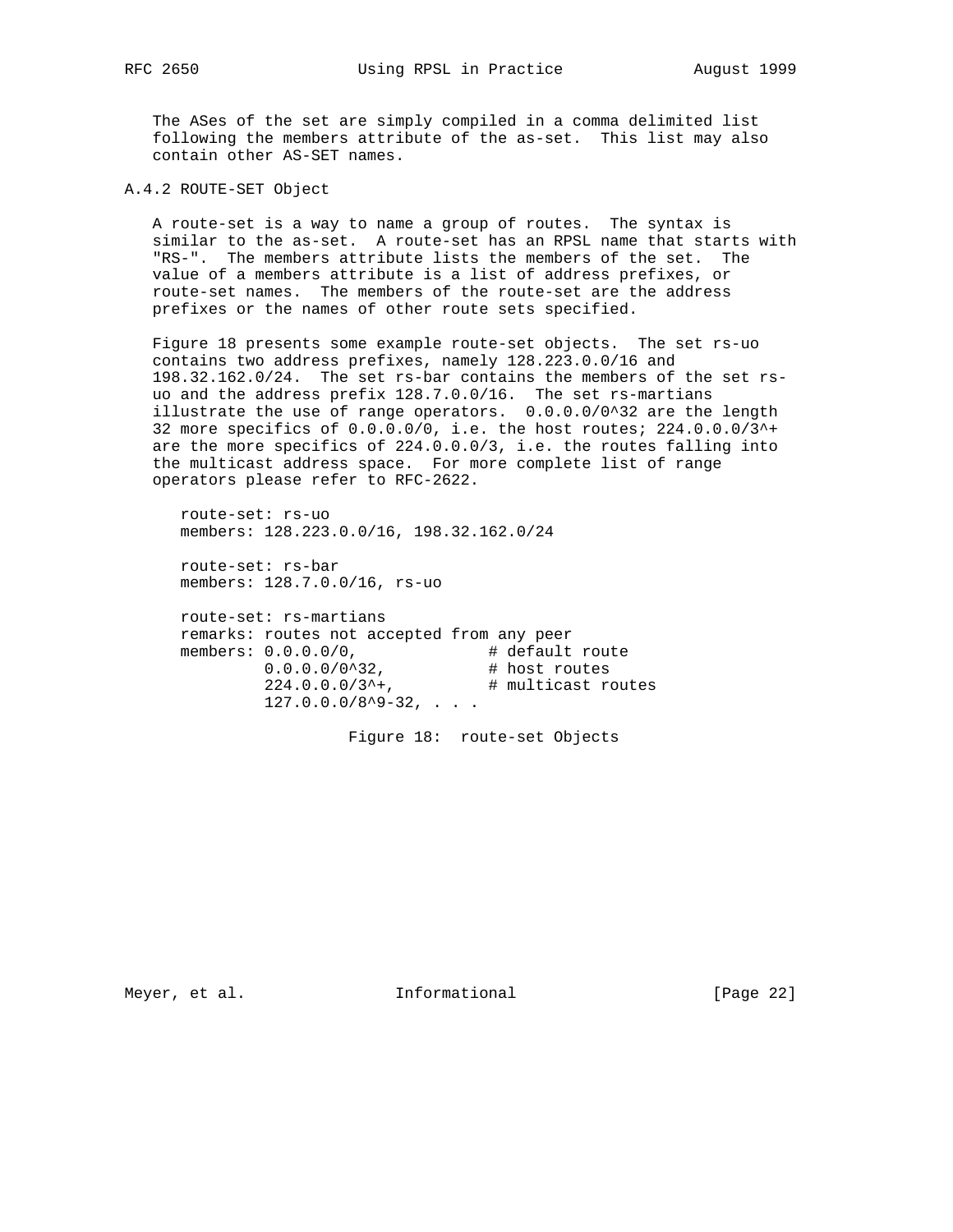The ASes of the set are simply compiled in a comma delimited list following the members attribute of the as-set. This list may also contain other AS-SET names.

A.4.2 ROUTE-SET Object

 A route-set is a way to name a group of routes. The syntax is similar to the as-set. A route-set has an RPSL name that starts with "RS-". The members attribute lists the members of the set. The value of a members attribute is a list of address prefixes, or route-set names. The members of the route-set are the address prefixes or the names of other route sets specified.

 Figure 18 presents some example route-set objects. The set rs-uo contains two address prefixes, namely 128.223.0.0/16 and 198.32.162.0/24. The set rs-bar contains the members of the set rs uo and the address prefix 128.7.0.0/16. The set rs-martians illustrate the use of range operators. 0.0.0.0/0^32 are the length 32 more specifics of 0.0.0.0/0, i.e. the host routes; 224.0.0.0/3^+ are the more specifics of 224.0.0.0/3, i.e. the routes falling into the multicast address space. For more complete list of range operators please refer to RFC-2622.

 route-set: rs-uo members: 128.223.0.0/16, 198.32.162.0/24

 route-set: rs-bar members: 128.7.0.0/16, rs-uo

 route-set: rs-martians remarks: routes not accepted from any peer members:  $0.0.0.0/0$ ,  $\qquad$  # default route 0.0.0.0/0^32, # host routes  $224.0.0.0/3$ <sup>^+</sup>,  $\#$  multicast routes  $127.0.0.0/8^9 - 32, \ldots$ 

Figure 18: route-set Objects

Meyer, et al. 100 Informational 100 [Page 22]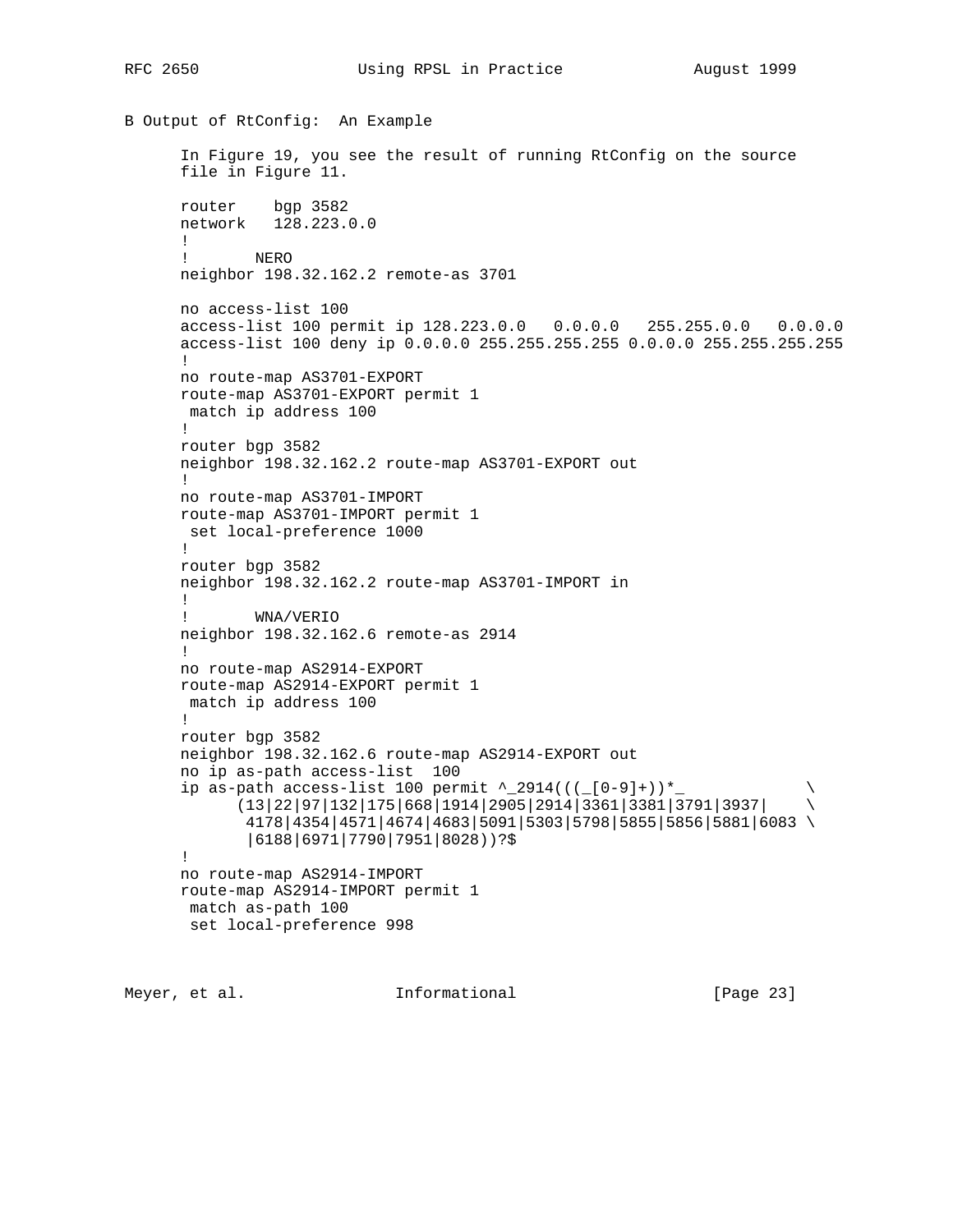RFC 2650 Using RPSL in Practice August 1999

```
B Output of RtConfig: An Example
       In Figure 19, you see the result of running RtConfig on the source
      file in Figure 11.
      router bgp 3582
      network 128.223.0.0
      !
      ! NERO
      neighbor 198.32.162.2 remote-as 3701
      no access-list 100
      access-list 100 permit ip 128.223.0.0 0.0.0.0 255.255.0.0 0.0.0.0
      access-list 100 deny ip 0.0.0.0 255.255.255.255 0.0.0.0 255.255.255.255
1
      no route-map AS3701-EXPORT
      route-map AS3701-EXPORT permit 1
       match ip address 100
      !
      router bgp 3582
      neighbor 198.32.162.2 route-map AS3701-EXPORT out
1
      no route-map AS3701-IMPORT
      route-map AS3701-IMPORT permit 1
       set local-preference 1000
       !
      router bgp 3582
      neighbor 198.32.162.2 route-map AS3701-IMPORT in
      !
      ! WNA/VERIO
      neighbor 198.32.162.6 remote-as 2914
      !
      no route-map AS2914-EXPORT
      route-map AS2914-EXPORT permit 1
       match ip address 100
      !
      router bgp 3582
      neighbor 198.32.162.6 route-map AS2914-EXPORT out
      no ip as-path access-list 100
     ip as-path access-list 100 permit ^_2914(((_[0-9]+))*_
            (13|22|97|132|175|668|1914|2905|2914|3361|3381|3791|3937| \
              4178|4354|4571|4674|4683|5091|5303|5798|5855|5856|5881|6083 \
              |6188|6971|7790|7951|8028))?$
       !
      no route-map AS2914-IMPORT
      route-map AS2914-IMPORT permit 1
       match as-path 100
       set local-preference 998
```
Meyer, et al. **Informational** [Page 23]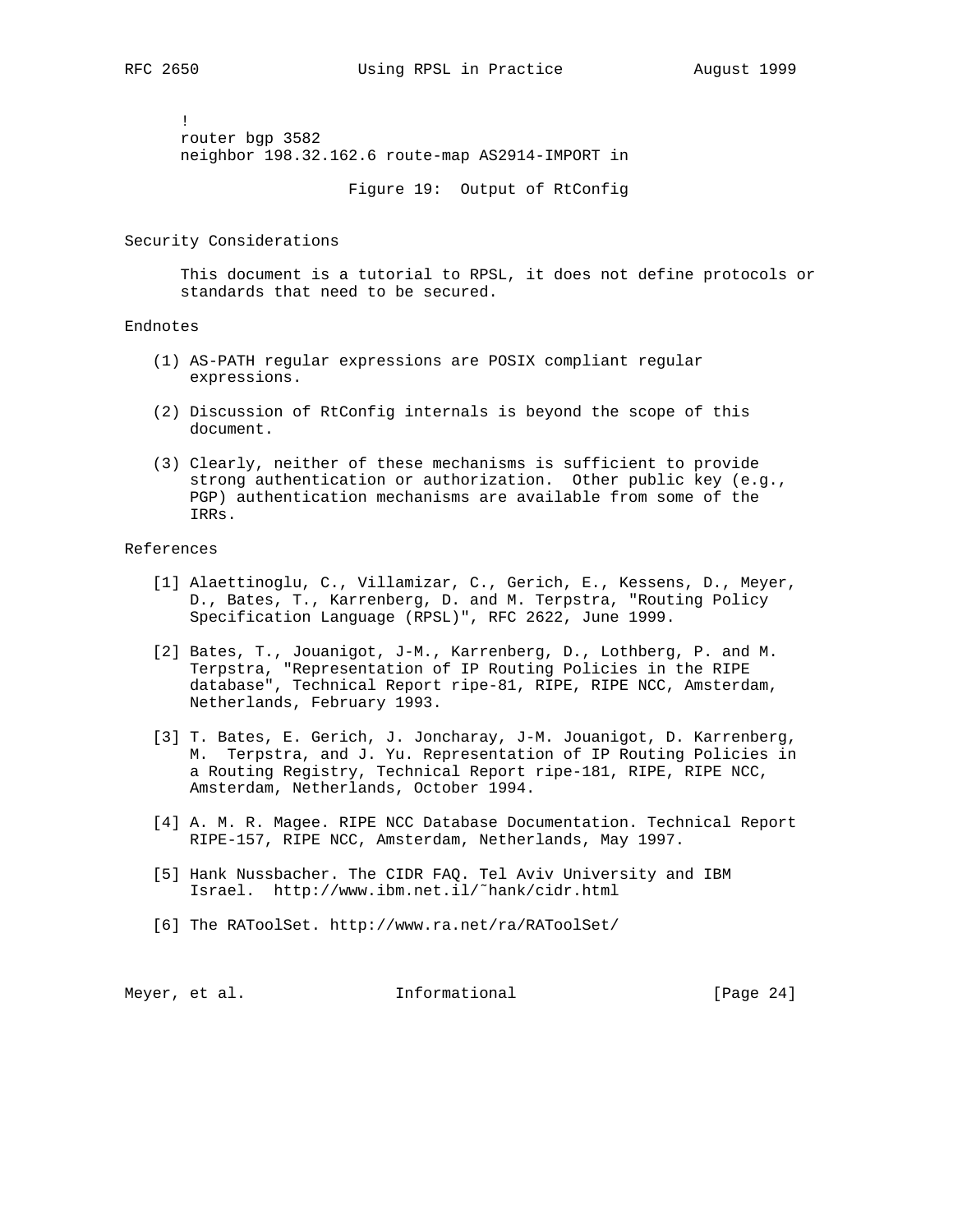! router bgp 3582 neighbor 198.32.162.6 route-map AS2914-IMPORT in

Figure 19: Output of RtConfig

Security Considerations

 This document is a tutorial to RPSL, it does not define protocols or standards that need to be secured.

#### Endnotes

- (1) AS-PATH regular expressions are POSIX compliant regular expressions.
- (2) Discussion of RtConfig internals is beyond the scope of this document.
- (3) Clearly, neither of these mechanisms is sufficient to provide strong authentication or authorization. Other public key (e.g., PGP) authentication mechanisms are available from some of the IRRs.

#### References

- [1] Alaettinoglu, C., Villamizar, C., Gerich, E., Kessens, D., Meyer, D., Bates, T., Karrenberg, D. and M. Terpstra, "Routing Policy Specification Language (RPSL)", RFC 2622, June 1999.
- [2] Bates, T., Jouanigot, J-M., Karrenberg, D., Lothberg, P. and M. Terpstra, "Representation of IP Routing Policies in the RIPE database", Technical Report ripe-81, RIPE, RIPE NCC, Amsterdam, Netherlands, February 1993.
- [3] T. Bates, E. Gerich, J. Joncharay, J-M. Jouanigot, D. Karrenberg, M. Terpstra, and J. Yu. Representation of IP Routing Policies in a Routing Registry, Technical Report ripe-181, RIPE, RIPE NCC, Amsterdam, Netherlands, October 1994.
- [4] A. M. R. Magee. RIPE NCC Database Documentation. Technical Report RIPE-157, RIPE NCC, Amsterdam, Netherlands, May 1997.
- [5] Hank Nussbacher. The CIDR FAQ. Tel Aviv University and IBM Israel. http://www.ibm.net.il/˜hank/cidr.html
- [6] The RAToolSet. http://www.ra.net/ra/RAToolSet/

Meyer, et al. **Informational** [Page 24]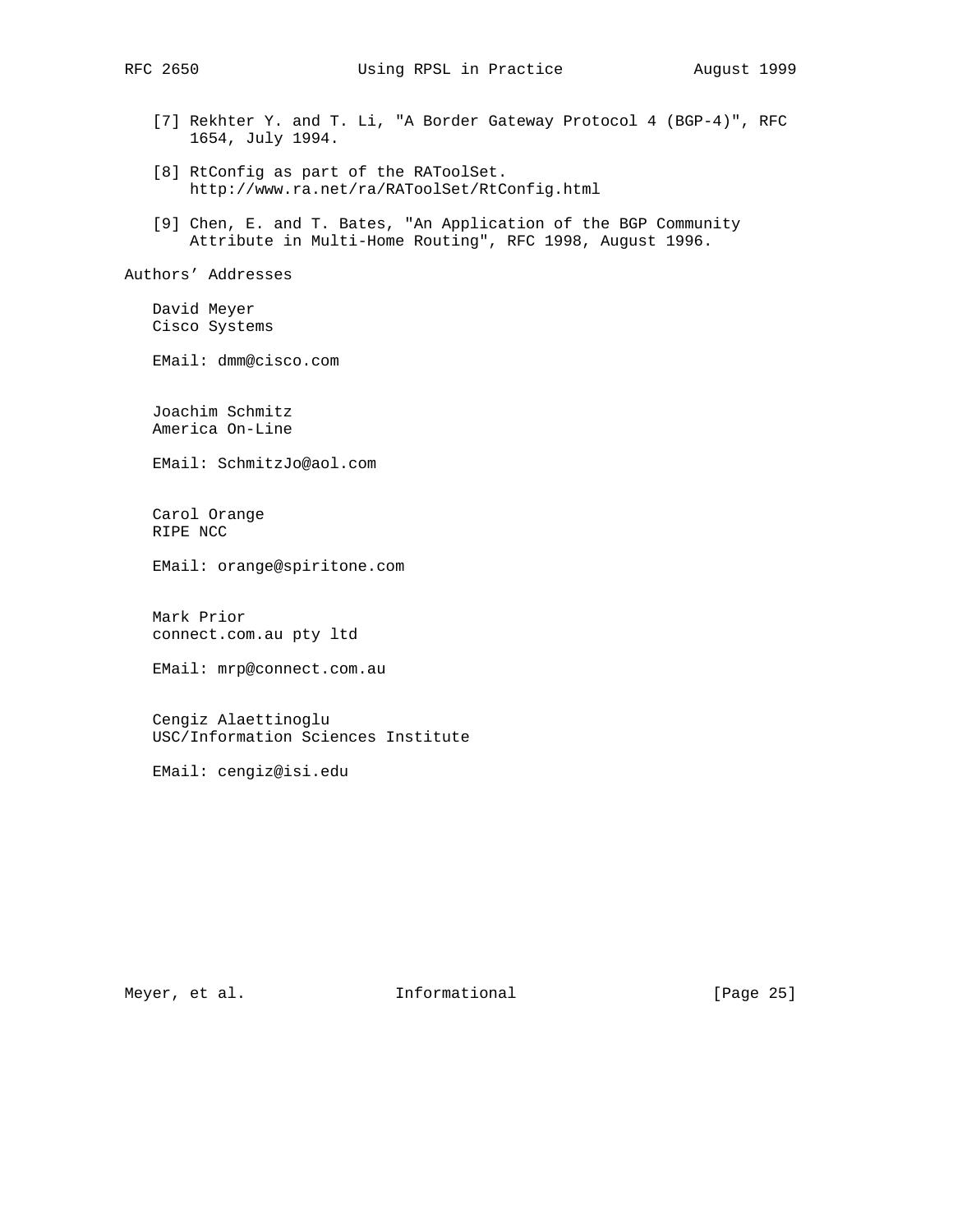[7] Rekhter Y. and T. Li, "A Border Gateway Protocol 4 (BGP-4)", RFC 1654, July 1994. [8] RtConfig as part of the RAToolSet. http://www.ra.net/ra/RAToolSet/RtConfig.html [9] Chen, E. and T. Bates, "An Application of the BGP Community Attribute in Multi-Home Routing", RFC 1998, August 1996. Authors' Addresses David Meyer Cisco Systems EMail: dmm@cisco.com Joachim Schmitz America On-Line EMail: SchmitzJo@aol.com Carol Orange RIPE NCC EMail: orange@spiritone.com Mark Prior connect.com.au pty ltd EMail: mrp@connect.com.au Cengiz Alaettinoglu USC/Information Sciences Institute

EMail: cengiz@isi.edu

Meyer, et al. 10 Informational 10 [Page 25]